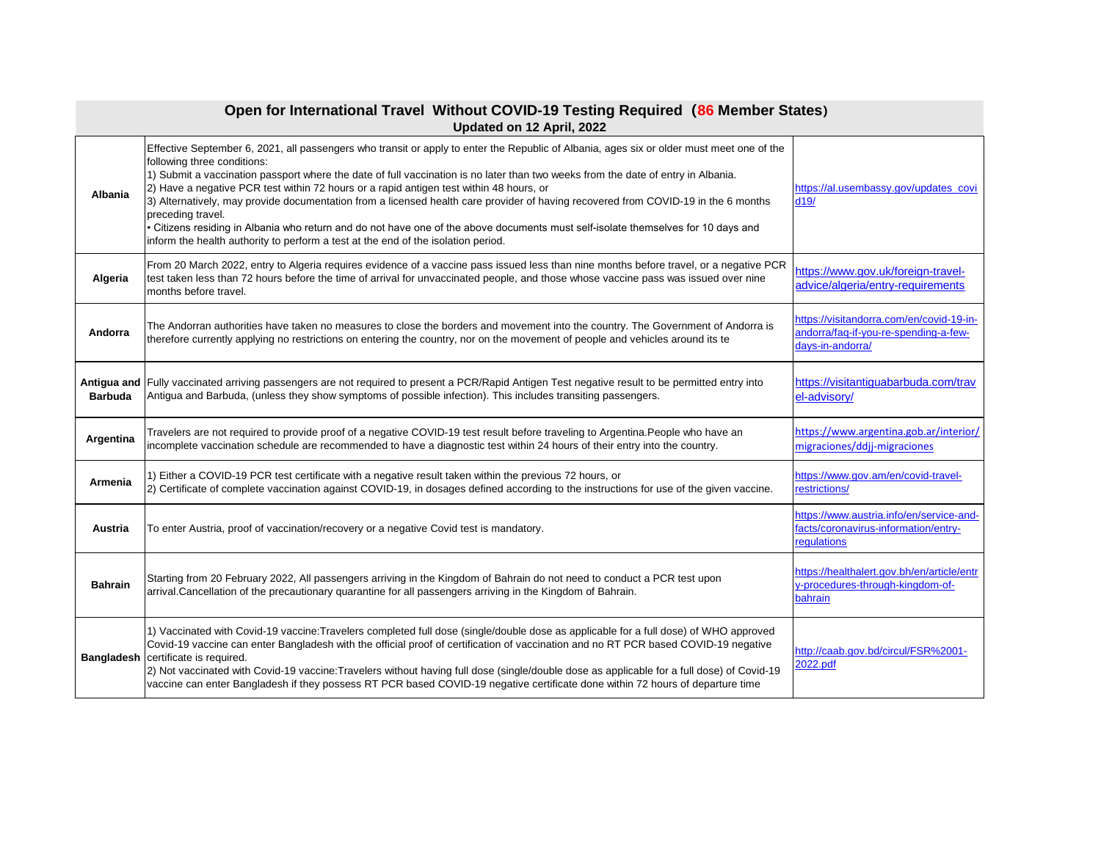| Open for International Travel Without COVID-19 Testing Required (86 Member States)<br>Updated on 12 April, 2022 |                                                                                                                                                                                                                                                                                                                                                                                                                                                                                                                                                                                                                                                                                                                                                                                              |                                                                                                       |
|-----------------------------------------------------------------------------------------------------------------|----------------------------------------------------------------------------------------------------------------------------------------------------------------------------------------------------------------------------------------------------------------------------------------------------------------------------------------------------------------------------------------------------------------------------------------------------------------------------------------------------------------------------------------------------------------------------------------------------------------------------------------------------------------------------------------------------------------------------------------------------------------------------------------------|-------------------------------------------------------------------------------------------------------|
| <b>Albania</b>                                                                                                  | Effective September 6, 2021, all passengers who transit or apply to enter the Republic of Albania, ages six or older must meet one of the<br>following three conditions:<br>1) Submit a vaccination passport where the date of full vaccination is no later than two weeks from the date of entry in Albania.<br>[2] Have a negative PCR test within 72 hours or a rapid antigen test within 48 hours, or<br>3) Alternatively, may provide documentation from a licensed health care provider of having recovered from COVID-19 in the 6 months<br>preceding travel.<br>Citizens residing in Albania who return and do not have one of the above documents must self-isolate themselves for 10 days and<br>inform the health authority to perform a test at the end of the isolation period. | https://al.usembassy.gov/updates_covi<br>d19/                                                         |
| Algeria                                                                                                         | From 20 March 2022, entry to Algeria requires evidence of a vaccine pass issued less than nine months before travel, or a negative PCR<br>test taken less than 72 hours before the time of arrival for unvaccinated people, and those whose vaccine pass was issued over nine<br>months before travel.                                                                                                                                                                                                                                                                                                                                                                                                                                                                                       | https://www.gov.uk/foreign-travel-<br>advice/algeria/entry-requirements                               |
| Andorra                                                                                                         | The Andorran authorities have taken no measures to close the borders and movement into the country. The Government of Andorra is<br>therefore currently applying no restrictions on entering the country, nor on the movement of people and vehicles around its te                                                                                                                                                                                                                                                                                                                                                                                                                                                                                                                           | https://visitandorra.com/en/covid-19-in-<br>andorra/faq-if-you-re-spending-a-few-<br>days-in-andorra/ |
| <b>Barbuda</b>                                                                                                  | Antigua and Fully vaccinated arriving passengers are not required to present a PCR/Rapid Antigen Test negative result to be permitted entry into<br>Antigua and Barbuda, (unless they show symptoms of possible infection). This includes transiting passengers.                                                                                                                                                                                                                                                                                                                                                                                                                                                                                                                             | https://visitantiquabarbuda.com/trav<br>el-advisory/                                                  |
| Argentina                                                                                                       | Travelers are not required to provide proof of a negative COVID-19 test result before traveling to Argentina. People who have an<br>incomplete vaccination schedule are recommended to have a diagnostic test within 24 hours of their entry into the country.                                                                                                                                                                                                                                                                                                                                                                                                                                                                                                                               | https://www.argentina.gob.ar/interior/<br>migraciones/ddjj-migraciones                                |
| Armenia                                                                                                         | 1) Either a COVID-19 PCR test certificate with a negative result taken within the previous 72 hours, or<br>[2] Certificate of complete vaccination against COVID-19, in dosages defined according to the instructions for use of the given vaccine.                                                                                                                                                                                                                                                                                                                                                                                                                                                                                                                                          | https://www.gov.am/en/covid-travel-<br>restrictions/                                                  |
| <b>Austria</b>                                                                                                  | To enter Austria, proof of vaccination/recovery or a negative Covid test is mandatory.                                                                                                                                                                                                                                                                                                                                                                                                                                                                                                                                                                                                                                                                                                       | https://www.austria.info/en/service-and-<br>facts/coronavirus-information/entry-<br>regulations       |
| <b>Bahrain</b>                                                                                                  | Starting from 20 February 2022, All passengers arriving in the Kingdom of Bahrain do not need to conduct a PCR test upon<br>arrival.Cancellation of the precautionary quarantine for all passengers arriving in the Kingdom of Bahrain.                                                                                                                                                                                                                                                                                                                                                                                                                                                                                                                                                      | https://healthalert.gov.bh/en/article/entr<br>y-procedures-through-kingdom-of-<br>bahrain             |
|                                                                                                                 | 1) Vaccinated with Covid-19 vaccine: Travelers completed full dose (single/double dose as applicable for a full dose) of WHO approved<br>Covid-19 vaccine can enter Bangladesh with the official proof of certification of vaccination and no RT PCR based COVID-19 negative<br><b>Bangladesh</b> certificate is required.<br>[2) Not vaccinated with Covid-19 vaccine: Travelers without having full dose (single/double dose as applicable for a full dose) of Covid-19<br>vaccine can enter Bangladesh if they possess RT PCR based COVID-19 negative certificate done within 72 hours of departure time                                                                                                                                                                                  | http://caab.gov.bd/circul/FSR%2001-<br>2022.pdf                                                       |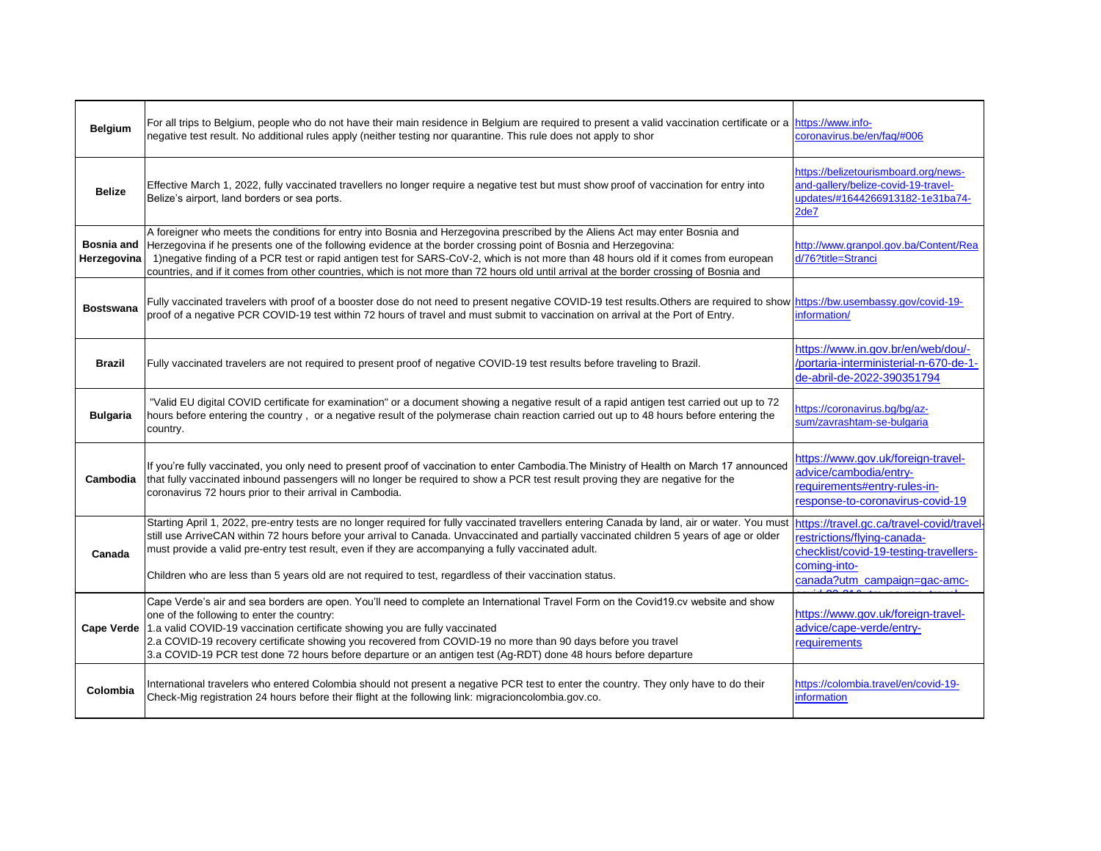| <b>Belgium</b>            | For all trips to Belgium, people who do not have their main residence in Belgium are required to present a valid vaccination certificate or a <i>https://www.info-</i><br>negative test result. No additional rules apply (neither testing nor quarantine. This rule does not apply to shor                                                                                                                                                                                                                                                             | coronavirus.be/en/faq/#006                                                                                                          |
|---------------------------|---------------------------------------------------------------------------------------------------------------------------------------------------------------------------------------------------------------------------------------------------------------------------------------------------------------------------------------------------------------------------------------------------------------------------------------------------------------------------------------------------------------------------------------------------------|-------------------------------------------------------------------------------------------------------------------------------------|
| <b>Belize</b>             | Effective March 1, 2022, fully vaccinated travellers no longer require a negative test but must show proof of vaccination for entry into<br>Belize's airport, land borders or sea ports.                                                                                                                                                                                                                                                                                                                                                                | https://belizetourismboard.org/news-<br>and-gallery/belize-covid-19-travel-<br>updates/#1644266913182-1e31ba74-<br>2 <sub>de7</sub> |
| Bosnia and<br>Herzegovina | A foreigner who meets the conditions for entry into Bosnia and Herzegovina prescribed by the Aliens Act may enter Bosnia and<br>Herzegovina if he presents one of the following evidence at the border crossing point of Bosnia and Herzegovina:<br>1) negative finding of a PCR test or rapid antigen test for SARS-CoV-2, which is not more than 48 hours old if it comes from european<br>countries, and if it comes from other countries, which is not more than 72 hours old until arrival at the border crossing of Bosnia and                    | http://www.granpol.gov.ba/Content/Rea<br>d/76?title=Stranci                                                                         |
| <b>Bostswana</b>          | Fully vaccinated travelers with proof of a booster dose do not need to present negative COVID-19 test results. Others are required to show https://bw.usembassy.gov/covid-19-<br>proof of a negative PCR COVID-19 test within 72 hours of travel and must submit to vaccination on arrival at the Port of Entry.                                                                                                                                                                                                                                        | information/                                                                                                                        |
| <b>Brazil</b>             | Fully vaccinated travelers are not required to present proof of negative COVID-19 test results before traveling to Brazil.                                                                                                                                                                                                                                                                                                                                                                                                                              | https://www.in.gov.br/en/web/dou/-<br>/portaria-interministerial-n-670-de-1-<br>de-abril-de-2022-390351794                          |
| <b>Bulgaria</b>           | "Valid EU digital COVID certificate for examination" or a document showing a negative result of a rapid antigen test carried out up to 72<br>hours before entering the country, or a negative result of the polymerase chain reaction carried out up to 48 hours before entering the<br>country.                                                                                                                                                                                                                                                        | https://coronavirus.bg/bg/az-<br>sum/zavrashtam-se-bulgaria                                                                         |
| Cambodia                  | If you're fully vaccinated, you only need to present proof of vaccination to enter Cambodia. The Ministry of Health on March 17 announced<br>that fully vaccinated inbound passengers will no longer be required to show a PCR test result proving they are negative for the<br>coronavirus 72 hours prior to their arrival in Cambodia.                                                                                                                                                                                                                | https://www.gov.uk/foreign-travel-<br>advice/cambodia/entry-<br>requirements#entry-rules-in-<br>response-to-coronavirus-covid-19    |
| Canada                    | Starting April 1, 2022, pre-entry tests are no longer required for fully vaccinated travellers entering Canada by land, air or water. You must https://travel.gc.ca/travel-covid/travel<br>still use ArriveCAN within 72 hours before your arrival to Canada. Unvaccinated and partially vaccinated children 5 years of age or older<br>must provide a valid pre-entry test result, even if they are accompanying a fully vaccinated adult.<br>Children who are less than 5 years old are not required to test, regardless of their vaccination status. | restrictions/flying-canada-<br>checklist/covid-19-testing-travellers-<br>coming-into-<br>canada?utm_campaign=gac-amc-               |
|                           | Cape Verde's air and sea borders are open. You'll need to complete an International Travel Form on the Covid19.cv website and show<br>one of the following to enter the country:<br>Cape Verde 1.a valid COVID-19 vaccination certificate showing you are fully vaccinated<br>2.a COVID-19 recovery certificate showing you recovered from COVID-19 no more than 90 days before you travel<br>3.a COVID-19 PCR test done 72 hours before departure or an antigen test (Ag-RDT) done 48 hours before departure                                           | https://www.gov.uk/foreign-travel-<br>advice/cape-verde/entry-<br>requirements                                                      |
| Colombia                  | International travelers who entered Colombia should not present a negative PCR test to enter the country. They only have to do their<br>Check-Mig registration 24 hours before their flight at the following link: migracioncolombia.gov.co.                                                                                                                                                                                                                                                                                                            | https://colombia.travel/en/covid-19-<br>information                                                                                 |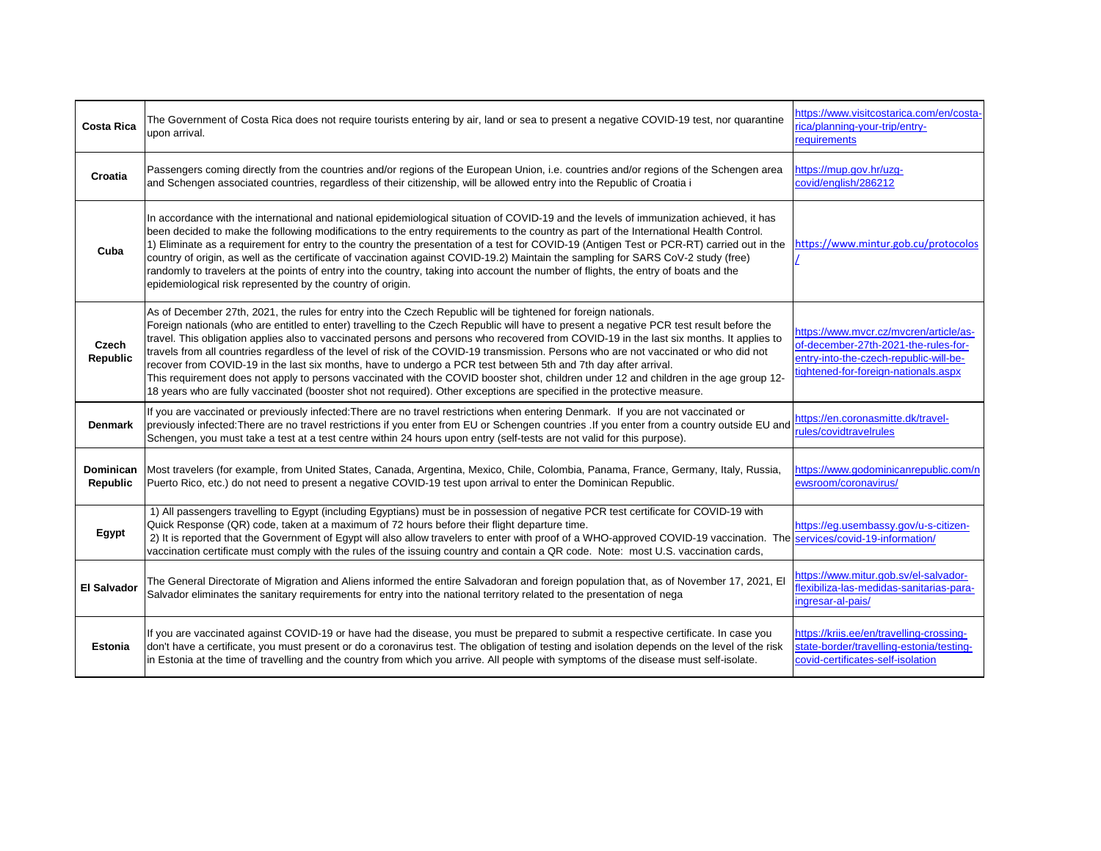| <b>Costa Rica</b>               | The Government of Costa Rica does not require tourists entering by air, land or sea to present a negative COVID-19 test, nor quarantine<br>upon arrival.                                                                                                                                                                                                                                                                                                                                                                                                                                                                                                                                                                                                                                                                                                                                                                                    | https://www.visitcostarica.com/en/costa-<br>rica/planning-your-trip/entry-<br>requirements                                                                       |
|---------------------------------|---------------------------------------------------------------------------------------------------------------------------------------------------------------------------------------------------------------------------------------------------------------------------------------------------------------------------------------------------------------------------------------------------------------------------------------------------------------------------------------------------------------------------------------------------------------------------------------------------------------------------------------------------------------------------------------------------------------------------------------------------------------------------------------------------------------------------------------------------------------------------------------------------------------------------------------------|------------------------------------------------------------------------------------------------------------------------------------------------------------------|
| <b>Croatia</b>                  | Passengers coming directly from the countries and/or regions of the European Union, i.e. countries and/or regions of the Schengen area<br>and Schengen associated countries, regardless of their citizenship, will be allowed entry into the Republic of Croatia i                                                                                                                                                                                                                                                                                                                                                                                                                                                                                                                                                                                                                                                                          | https://mup.gov.hr/uzg-<br>covid/english/286212                                                                                                                  |
| Cuba                            | In accordance with the international and national epidemiological situation of COVID-19 and the levels of immunization achieved, it has<br>been decided to make the following modifications to the entry requirements to the country as part of the International Health Control.<br>1) Eliminate as a requirement for entry to the country the presentation of a test for COVID-19 (Antigen Test or PCR-RT) carried out in the<br>country of origin, as well as the certificate of vaccination against COVID-19.2) Maintain the sampling for SARS CoV-2 study (free)<br>randomly to travelers at the points of entry into the country, taking into account the number of flights, the entry of boats and the<br>epidemiological risk represented by the country of origin.                                                                                                                                                                 | https://www.mintur.gob.cu/protocolos                                                                                                                             |
| <b>Czech</b><br><b>Republic</b> | As of December 27th, 2021, the rules for entry into the Czech Republic will be tightened for foreign nationals.<br>Foreign nationals (who are entitled to enter) travelling to the Czech Republic will have to present a negative PCR test result before the<br>travel. This obligation applies also to vaccinated persons and persons who recovered from COVID-19 in the last six months. It applies to<br>travels from all countries regardless of the level of risk of the COVID-19 transmission. Persons who are not vaccinated or who did not<br>recover from COVID-19 in the last six months, have to undergo a PCR test between 5th and 7th day after arrival.<br>This requirement does not apply to persons vaccinated with the COVID booster shot, children under 12 and children in the age group 12-<br>18 years who are fully vaccinated (booster shot not required). Other exceptions are specified in the protective measure. | https://www.mvcr.cz/mvcren/article/as-<br>of-december-27th-2021-the-rules-for-<br>entry-into-the-czech-republic-will-be-<br>tightened-for-foreign-nationals.aspx |
| <b>Denmark</b>                  | If you are vaccinated or previously infected: There are no travel restrictions when entering Denmark. If you are not vaccinated or<br>previously infected: There are no travel restrictions if you enter from EU or Schengen countries . If you enter from a country outside EU and<br>Schengen, you must take a test at a test centre within 24 hours upon entry (self-tests are not valid for this purpose).                                                                                                                                                                                                                                                                                                                                                                                                                                                                                                                              | https://en.coronasmitte.dk/travel-<br>rules/covidtravelrules                                                                                                     |
| Dominican<br><b>Republic</b>    | Most travelers (for example, from United States, Canada, Argentina, Mexico, Chile, Colombia, Panama, France, Germany, Italy, Russia,<br>Puerto Rico, etc.) do not need to present a negative COVID-19 test upon arrival to enter the Dominican Republic.                                                                                                                                                                                                                                                                                                                                                                                                                                                                                                                                                                                                                                                                                    | https://www.godominicanrepublic.com/n<br>ewsroom/coronavirus/                                                                                                    |
| <b>Egypt</b>                    | 1) All passengers travelling to Egypt (including Egyptians) must be in possession of negative PCR test certificate for COVID-19 with<br>Quick Response (QR) code, taken at a maximum of 72 hours before their flight departure time.<br>2) It is reported that the Government of Egypt will also allow travelers to enter with proof of a WHO-approved COVID-19 vaccination. The services/covid-19-information/<br>vaccination certificate must comply with the rules of the issuing country and contain a QR code. Note: most U.S. vaccination cards,                                                                                                                                                                                                                                                                                                                                                                                      | https://eg.usembassy.gov/u-s-citizen-                                                                                                                            |
| <b>El Salvador</b>              | The General Directorate of Migration and Aliens informed the entire Salvadoran and foreign population that, as of November 17, 2021, El<br>Salvador eliminates the sanitary requirements for entry into the national territory related to the presentation of nega                                                                                                                                                                                                                                                                                                                                                                                                                                                                                                                                                                                                                                                                          | https://www.mitur.gob.sv/el-salvador-<br>flexibiliza-las-medidas-sanitarias-para-<br>ingresar-al-pais/                                                           |
| <b>Estonia</b>                  | If you are vaccinated against COVID-19 or have had the disease, you must be prepared to submit a respective certificate. In case you<br>don't have a certificate, you must present or do a coronavirus test. The obligation of testing and isolation depends on the level of the risk<br>in Estonia at the time of travelling and the country from which you arrive. All people with symptoms of the disease must self-isolate.                                                                                                                                                                                                                                                                                                                                                                                                                                                                                                             | https://kriis.ee/en/travelling-crossing-<br>state-border/travelling-estonia/testing-<br>covid-certificates-self-isolation                                        |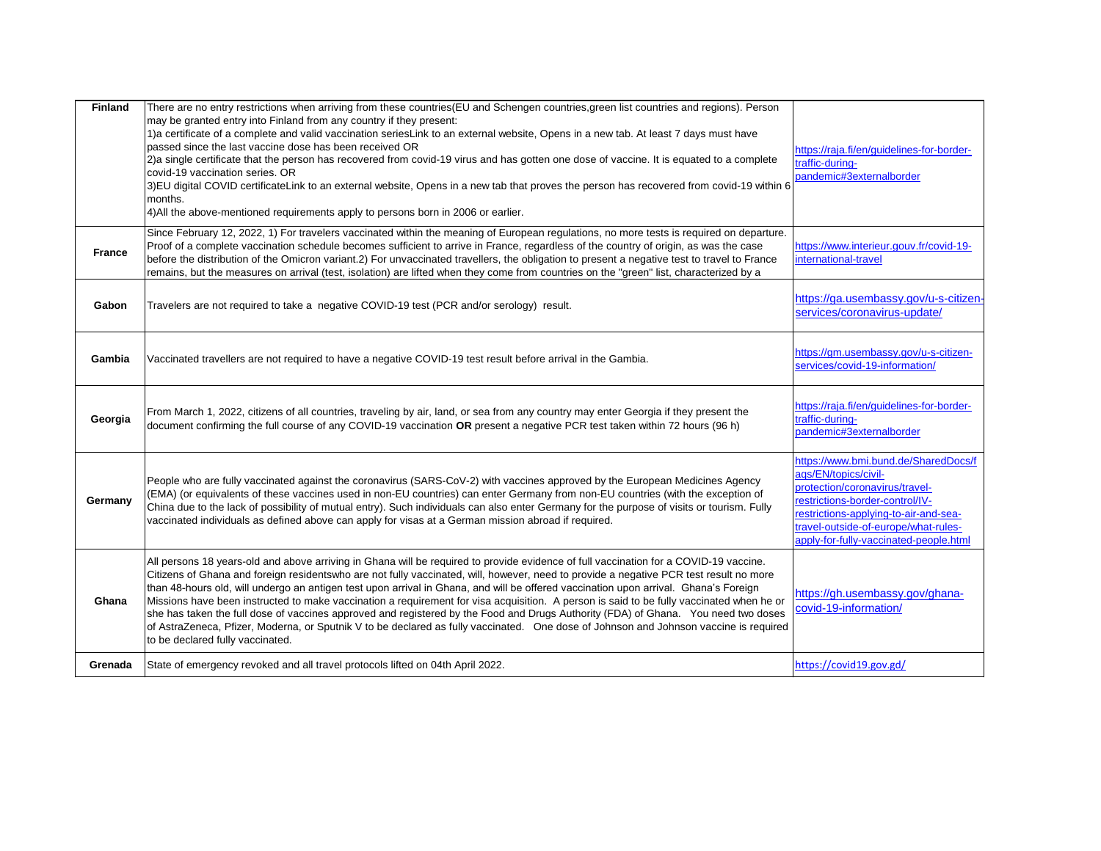| <b>Finland</b> | There are no entry restrictions when arriving from these countries(EU and Schengen countries, green list countries and regions). Person<br>may be granted entry into Finland from any country if they present:<br>1)a certificate of a complete and valid vaccination seriesLink to an external website, Opens in a new tab. At least 7 days must have<br>passed since the last vaccine dose has been received OR<br>2)a single certificate that the person has recovered from covid-19 virus and has gotten one dose of vaccine. It is equated to a complete<br>covid-19 vaccination series. OR<br>3) EU digital COVID certificateLink to an external website, Opens in a new tab that proves the person has recovered from covid-19 within 6<br>months.<br>4) All the above-mentioned requirements apply to persons born in 2006 or earlier.                                         | https://raja.fi/en/guidelines-for-border-<br>traffic-during-<br>pandemic#3externalborder                                                                                                                                                                     |
|----------------|----------------------------------------------------------------------------------------------------------------------------------------------------------------------------------------------------------------------------------------------------------------------------------------------------------------------------------------------------------------------------------------------------------------------------------------------------------------------------------------------------------------------------------------------------------------------------------------------------------------------------------------------------------------------------------------------------------------------------------------------------------------------------------------------------------------------------------------------------------------------------------------|--------------------------------------------------------------------------------------------------------------------------------------------------------------------------------------------------------------------------------------------------------------|
| <b>France</b>  | Since February 12, 2022, 1) For travelers vaccinated within the meaning of European regulations, no more tests is required on departure.<br>Proof of a complete vaccination schedule becomes sufficient to arrive in France, regardless of the country of origin, as was the case<br>before the distribution of the Omicron variant.2) For unvaccinated travellers, the obligation to present a negative test to travel to France<br>remains, but the measures on arrival (test, isolation) are lifted when they come from countries on the "green" list, characterized by a                                                                                                                                                                                                                                                                                                           | https://www.interieur.gouv.fr/covid-19-<br>international-travel                                                                                                                                                                                              |
| Gabon          | Travelers are not required to take a negative COVID-19 test (PCR and/or serology) result.                                                                                                                                                                                                                                                                                                                                                                                                                                                                                                                                                                                                                                                                                                                                                                                              | https://ga.usembassy.gov/u-s-citizen-<br>services/coronavirus-update/                                                                                                                                                                                        |
| Gambia         | Vaccinated travellers are not required to have a negative COVID-19 test result before arrival in the Gambia.                                                                                                                                                                                                                                                                                                                                                                                                                                                                                                                                                                                                                                                                                                                                                                           | https://gm.usembassy.gov/u-s-citizen-<br>services/covid-19-information/                                                                                                                                                                                      |
| Georgia        | From March 1, 2022, citizens of all countries, traveling by air, land, or sea from any country may enter Georgia if they present the<br>document confirming the full course of any COVID-19 vaccination OR present a negative PCR test taken within 72 hours (96 h)                                                                                                                                                                                                                                                                                                                                                                                                                                                                                                                                                                                                                    | https://raja.fi/en/guidelines-for-border-<br>traffic-during-<br>pandemic#3externalborder                                                                                                                                                                     |
| Germany        | People who are fully vaccinated against the coronavirus (SARS-CoV-2) with vaccines approved by the European Medicines Agency<br>(EMA) (or equivalents of these vaccines used in non-EU countries) can enter Germany from non-EU countries (with the exception of<br>China due to the lack of possibility of mutual entry). Such individuals can also enter Germany for the purpose of visits or tourism. Fully<br>vaccinated individuals as defined above can apply for visas at a German mission abroad if required.                                                                                                                                                                                                                                                                                                                                                                  | https://www.bmi.bund.de/SharedDocs/f<br>aqs/EN/topics/civil-<br>protection/coronavirus/travel-<br>restrictions-border-control/IV-<br>restrictions-applying-to-air-and-sea-<br>travel-outside-of-europe/what-rules-<br>apply-for-fully-vaccinated-people.html |
| Ghana          | All persons 18 years-old and above arriving in Ghana will be required to provide evidence of full vaccination for a COVID-19 vaccine.<br>Citizens of Ghana and foreign residentswho are not fully vaccinated, will, however, need to provide a negative PCR test result no more<br>than 48-hours old, will undergo an antigen test upon arrival in Ghana, and will be offered vaccination upon arrival. Ghana's Foreign<br>Missions have been instructed to make vaccination a requirement for visa acquisition. A person is said to be fully vaccinated when he or<br>she has taken the full dose of vaccines approved and registered by the Food and Drugs Authority (FDA) of Ghana. You need two doses<br>of AstraZeneca, Pfizer, Moderna, or Sputnik V to be declared as fully vaccinated. One dose of Johnson and Johnson vaccine is required<br>to be declared fully vaccinated. | https://gh.usembassy.gov/ghana-<br>covid-19-information/                                                                                                                                                                                                     |
| Grenada        | State of emergency revoked and all travel protocols lifted on 04th April 2022.                                                                                                                                                                                                                                                                                                                                                                                                                                                                                                                                                                                                                                                                                                                                                                                                         | https://covid19.gov.gd/                                                                                                                                                                                                                                      |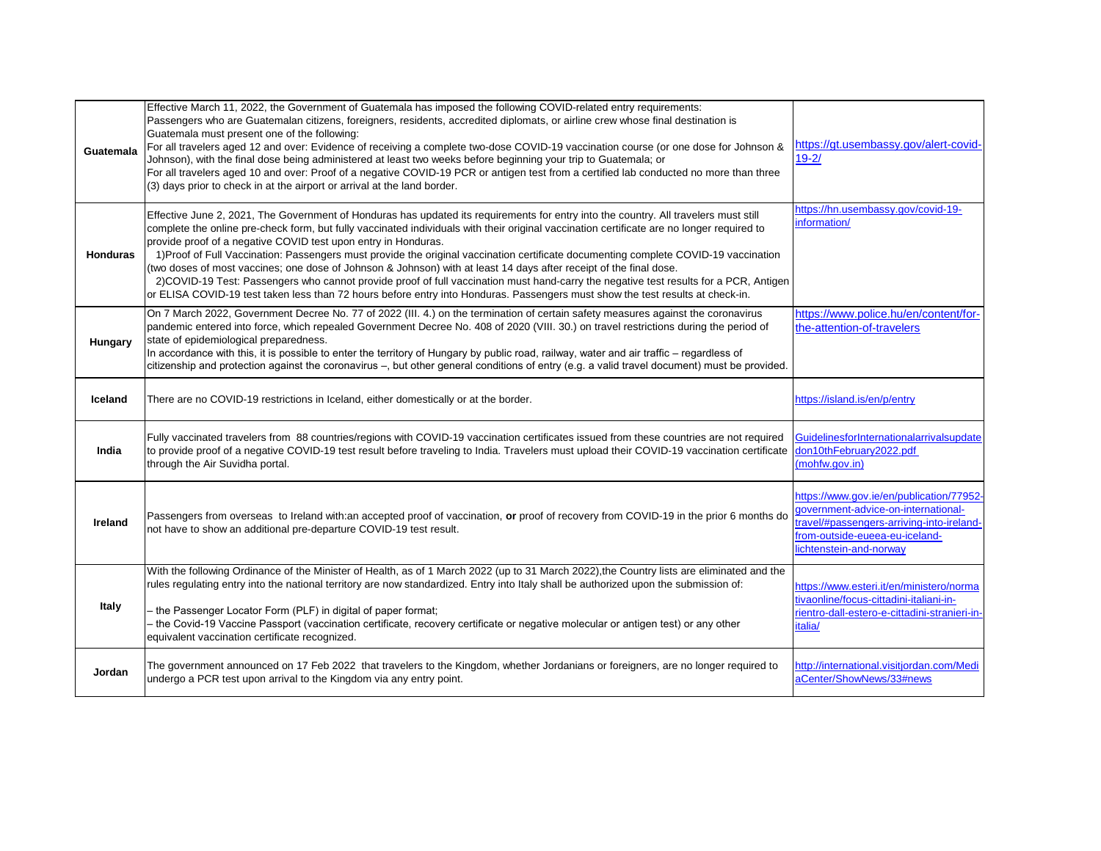| Guatemala       | Effective March 11, 2022, the Government of Guatemala has imposed the following COVID-related entry requirements:<br>Passengers who are Guatemalan citizens, foreigners, residents, accredited diplomats, or airline crew whose final destination is<br>Guatemala must present one of the following:<br>For all travelers aged 12 and over: Evidence of receiving a complete two-dose COVID-19 vaccination course (or one dose for Johnson &<br>Johnson), with the final dose being administered at least two weeks before beginning your trip to Guatemala; or<br>For all travelers aged 10 and over: Proof of a negative COVID-19 PCR or antigen test from a certified lab conducted no more than three<br>(3) days prior to check in at the airport or arrival at the land border.                                                                                                          | https://gt.usembassy.gov/alert-covid-<br>$19 - 2/$                                                                                                                                        |
|-----------------|------------------------------------------------------------------------------------------------------------------------------------------------------------------------------------------------------------------------------------------------------------------------------------------------------------------------------------------------------------------------------------------------------------------------------------------------------------------------------------------------------------------------------------------------------------------------------------------------------------------------------------------------------------------------------------------------------------------------------------------------------------------------------------------------------------------------------------------------------------------------------------------------|-------------------------------------------------------------------------------------------------------------------------------------------------------------------------------------------|
| <b>Honduras</b> | Effective June 2, 2021, The Government of Honduras has updated its requirements for entry into the country. All travelers must still<br>complete the online pre-check form, but fully vaccinated individuals with their original vaccination certificate are no longer required to<br>provide proof of a negative COVID test upon entry in Honduras.<br>1) Proof of Full Vaccination: Passengers must provide the original vaccination certificate documenting complete COVID-19 vaccination<br>(two doses of most vaccines; one dose of Johnson & Johnson) with at least 14 days after receipt of the final dose.<br>2) COVID-19 Test: Passengers who cannot provide proof of full vaccination must hand-carry the negative test results for a PCR, Antigen<br>or ELISA COVID-19 test taken less than 72 hours before entry into Honduras. Passengers must show the test results at check-in. | https://hn.usembassy.gov/covid-19-<br>information/                                                                                                                                        |
| <b>Hungary</b>  | On 7 March 2022, Government Decree No. 77 of 2022 (III. 4.) on the termination of certain safety measures against the coronavirus<br>pandemic entered into force, which repealed Government Decree No. 408 of 2020 (VIII. 30.) on travel restrictions during the period of<br>state of epidemiological preparedness.<br>In accordance with this, it is possible to enter the territory of Hungary by public road, railway, water and air traffic – regardless of<br>citizenship and protection against the coronavirus -, but other general conditions of entry (e.g. a valid travel document) must be provided.                                                                                                                                                                                                                                                                               | https://www.police.hu/en/content/for-<br>the-attention-of-travelers                                                                                                                       |
| Iceland         | There are no COVID-19 restrictions in Iceland, either domestically or at the border.                                                                                                                                                                                                                                                                                                                                                                                                                                                                                                                                                                                                                                                                                                                                                                                                           | https://island.is/en/p/entry                                                                                                                                                              |
| India           | Fully vaccinated travelers from 88 countries/regions with COVID-19 vaccination certificates issued from these countries are not required<br>to provide proof of a negative COVID-19 test result before traveling to India. Travelers must upload their COVID-19 vaccination certificate don10thFebruary2022.pdf<br>through the Air Suvidha portal.                                                                                                                                                                                                                                                                                                                                                                                                                                                                                                                                             | GuidelinesforInternationalarrivalsupdate<br>(mohfw.gov.in)                                                                                                                                |
| <b>Ireland</b>  | Passengers from overseas to Ireland with:an accepted proof of vaccination, or proof of recovery from COVID-19 in the prior 6 months do<br>not have to show an additional pre-departure COVID-19 test result.                                                                                                                                                                                                                                                                                                                                                                                                                                                                                                                                                                                                                                                                                   | https://www.gov.ie/en/publication/77952-<br>government-advice-on-international-<br>travel/#passengers-arriving-into-ireland-<br>from-outside-eueea-eu-iceland-<br>lichtenstein-and-norway |
|                 | With the following Ordinance of the Minister of Health, as of 1 March 2022 (up to 31 March 2022),the Country lists are eliminated and the<br>rules regulating entry into the national territory are now standardized. Entry into Italy shall be authorized upon the submission of:                                                                                                                                                                                                                                                                                                                                                                                                                                                                                                                                                                                                             | https://www.esteri.it/en/ministero/norma<br>tivaonline/focus-cittadini-italiani-in-                                                                                                       |
| <b>Italy</b>    | - the Passenger Locator Form (PLF) in digital of paper format;<br>- the Covid-19 Vaccine Passport (vaccination certificate, recovery certificate or negative molecular or antigen test) or any other<br>equivalent vaccination certificate recognized.                                                                                                                                                                                                                                                                                                                                                                                                                                                                                                                                                                                                                                         | rientro-dall-estero-e-cittadini-stranieri-in-<br>italia/                                                                                                                                  |
| Jordan          | The government announced on 17 Feb 2022 that travelers to the Kingdom, whether Jordanians or foreigners, are no longer required to<br>undergo a PCR test upon arrival to the Kingdom via any entry point.                                                                                                                                                                                                                                                                                                                                                                                                                                                                                                                                                                                                                                                                                      | http://international.visitjordan.com/Medi<br>aCenter/ShowNews/33#news                                                                                                                     |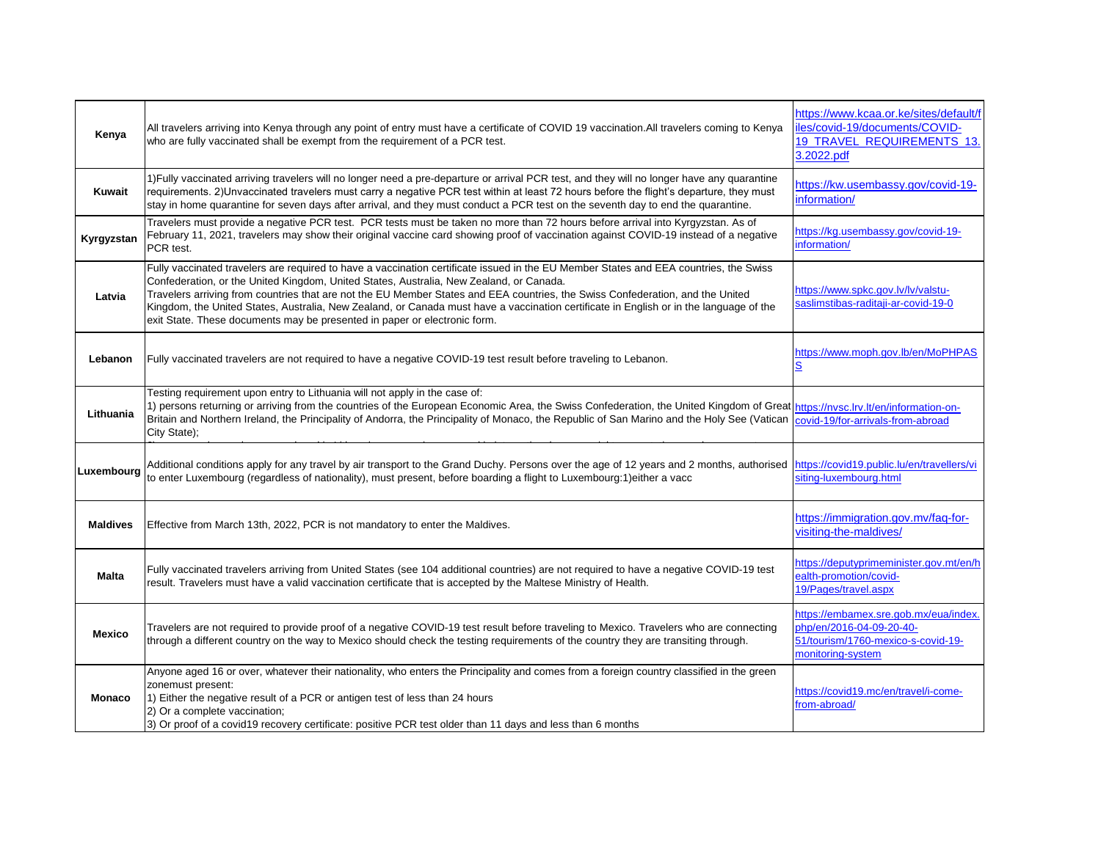| Kenya           | All travelers arriving into Kenya through any point of entry must have a certificate of COVID 19 vaccination. All travelers coming to Kenya<br>who are fully vaccinated shall be exempt from the requirement of a PCR test.                                                                                                                                                                                                                                                                                                                                                               | https://www.kcaa.or.ke/sites/default/f<br>iles/covid-19/documents/COVID-<br>19_TRAVEL_REQUIREMENTS_13.<br>3.2022.pdf         |
|-----------------|-------------------------------------------------------------------------------------------------------------------------------------------------------------------------------------------------------------------------------------------------------------------------------------------------------------------------------------------------------------------------------------------------------------------------------------------------------------------------------------------------------------------------------------------------------------------------------------------|------------------------------------------------------------------------------------------------------------------------------|
| <b>Kuwait</b>   | 1) Fully vaccinated arriving travelers will no longer need a pre-departure or arrival PCR test, and they will no longer have any quarantine<br>requirements. 2)Unvaccinated travelers must carry a negative PCR test within at least 72 hours before the flight's departure, they must<br>stay in home quarantine for seven days after arrival, and they must conduct a PCR test on the seventh day to end the quarantine.                                                                                                                                                                | https://kw.usembassy.gov/covid-19-<br>information/                                                                           |
| Kyrgyzstan      | Travelers must provide a negative PCR test. PCR tests must be taken no more than 72 hours before arrival into Kyrgyzstan. As of<br>February 11, 2021, travelers may show their original vaccine card showing proof of vaccination against COVID-19 instead of a negative<br>PCR test.                                                                                                                                                                                                                                                                                                     | https://kg.usembassy.gov/covid-19-<br>information/                                                                           |
| Latvia          | Fully vaccinated travelers are required to have a vaccination certificate issued in the EU Member States and EEA countries, the Swiss<br>Confederation, or the United Kingdom, United States, Australia, New Zealand, or Canada.<br>Travelers arriving from countries that are not the EU Member States and EEA countries, the Swiss Confederation, and the United<br>Kingdom, the United States, Australia, New Zealand, or Canada must have a vaccination certificate in English or in the language of the<br>exit State. These documents may be presented in paper or electronic form. | https://www.spkc.gov.lv/lv/valstu-<br>saslimstibas-raditaji-ar-covid-19-0                                                    |
| Lebanon         | Fully vaccinated travelers are not required to have a negative COVID-19 test result before traveling to Lebanon.                                                                                                                                                                                                                                                                                                                                                                                                                                                                          | https://www.moph.gov.lb/en/MoPHPAS                                                                                           |
| Lithuania       | Testing requirement upon entry to Lithuania will not apply in the case of:<br>1) persons returning or arriving from the countries of the European Economic Area, the Swiss Confederation, the United Kingdom of Great https://nvsc.lrv.lt/en/information-on-<br>Britain and Northern Ireland, the Principality of Andorra, the Principality of Monaco, the Republic of San Marino and the Holy See (Vatican<br>City State);                                                                                                                                                               | covid-19/for-arrivals-from-abroad                                                                                            |
| Luxembourg      | Additional conditions apply for any travel by air transport to the Grand Duchy. Persons over the age of 12 years and 2 months, authorised https://covid19.public.lu/en/travellers/vi<br>to enter Luxembourg (regardless of nationality), must present, before boarding a flight to Luxembourg:1) either a vacc                                                                                                                                                                                                                                                                            | siting-luxembourg.html                                                                                                       |
| <b>Maldives</b> | Effective from March 13th, 2022, PCR is not mandatory to enter the Maldives.                                                                                                                                                                                                                                                                                                                                                                                                                                                                                                              | https://immigration.gov.mv/faq-for-<br>visiting-the-maldives/                                                                |
| <b>Malta</b>    | Fully vaccinated travelers arriving from United States (see 104 additional countries) are not required to have a negative COVID-19 test<br>result. Travelers must have a valid vaccination certificate that is accepted by the Maltese Ministry of Health.                                                                                                                                                                                                                                                                                                                                | https://deputyprimeminister.gov.mt/en/h<br>ealth-promotion/covid-<br>19/Pages/travel.aspx                                    |
| <b>Mexico</b>   | Travelers are not required to provide proof of a negative COVID-19 test result before traveling to Mexico. Travelers who are connecting<br>through a different country on the way to Mexico should check the testing requirements of the country they are transiting through.                                                                                                                                                                                                                                                                                                             | https://embamex.sre.gob.mx/eua/index.<br>php/en/2016-04-09-20-40-<br>51/tourism/1760-mexico-s-covid-19-<br>monitoring-system |
| <b>Monaco</b>   | Anyone aged 16 or over, whatever their nationality, who enters the Principality and comes from a foreign country classified in the green<br>zonemust present:<br>1) Either the negative result of a PCR or antigen test of less than 24 hours<br>2) Or a complete vaccination;<br>3) Or proof of a covid19 recovery certificate: positive PCR test older than 11 days and less than 6 months                                                                                                                                                                                              | https://covid19.mc/en/travel/i-come-<br>from-abroad/                                                                         |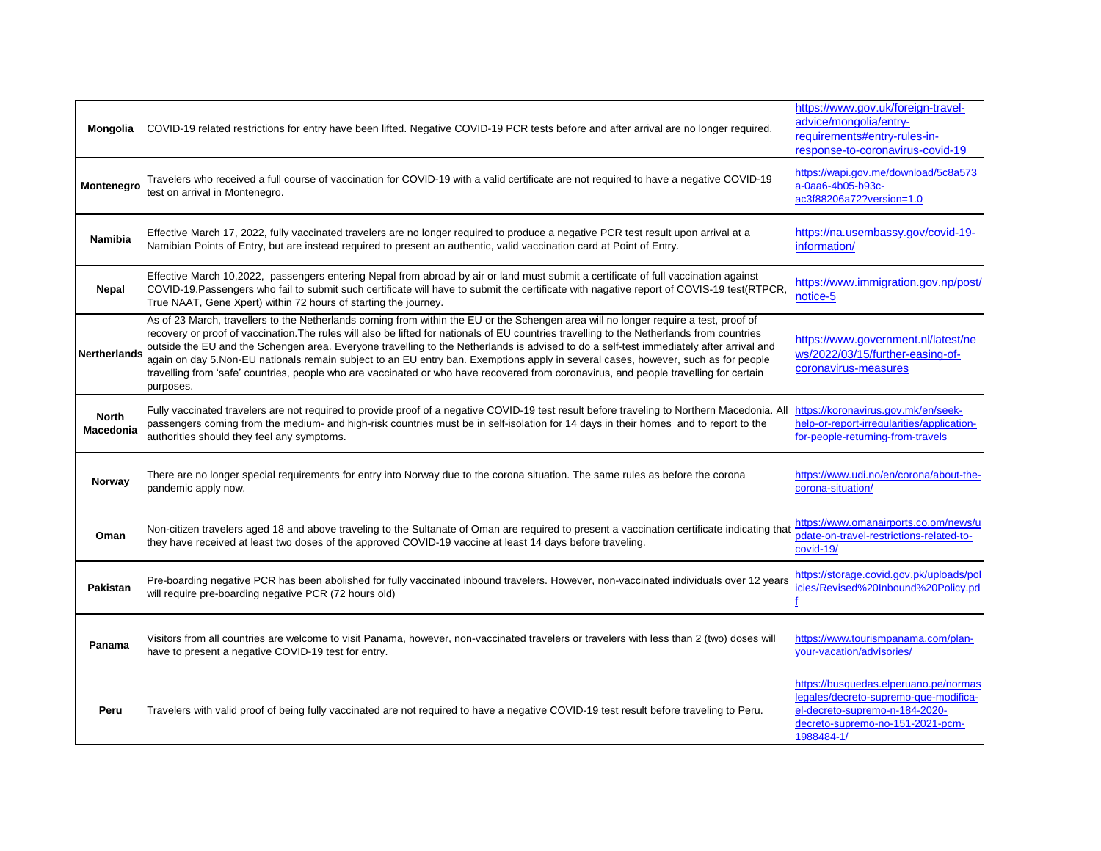| <b>Mongolia</b>                  | COVID-19 related restrictions for entry have been lifted. Negative COVID-19 PCR tests before and after arrival are no longer required.                                                                                                                                                                                                                                                                                                                                                                                                                                                                                                                                                                                   | https://www.gov.uk/foreign-travel-<br>advice/mongolia/entry-<br>requirements#entry-rules-in-<br>response-to-coronavirus-covid-19                                   |
|----------------------------------|--------------------------------------------------------------------------------------------------------------------------------------------------------------------------------------------------------------------------------------------------------------------------------------------------------------------------------------------------------------------------------------------------------------------------------------------------------------------------------------------------------------------------------------------------------------------------------------------------------------------------------------------------------------------------------------------------------------------------|--------------------------------------------------------------------------------------------------------------------------------------------------------------------|
| Montenegro                       | Travelers who received a full course of vaccination for COVID-19 with a valid certificate are not required to have a negative COVID-19<br>test on arrival in Montenegro.                                                                                                                                                                                                                                                                                                                                                                                                                                                                                                                                                 | https://wapi.gov.me/download/5c8a573<br>a-0aa6-4b05-b93c-<br>ac3f88206a72?version=1.0                                                                              |
| <b>Namibia</b>                   | Effective March 17, 2022, fully vaccinated travelers are no longer required to produce a negative PCR test result upon arrival at a<br>Namibian Points of Entry, but are instead required to present an authentic, valid vaccination card at Point of Entry.                                                                                                                                                                                                                                                                                                                                                                                                                                                             | https://na.usembassy.gov/covid-19-<br>information/                                                                                                                 |
| <b>Nepal</b>                     | Effective March 10,2022, passengers entering Nepal from abroad by air or land must submit a certificate of full vaccination against<br>COVID-19. Passengers who fail to submit such certificate will have to submit the certificate with nagative report of COVIS-19 test(RTPCR,<br>True NAAT, Gene Xpert) within 72 hours of starting the journey.                                                                                                                                                                                                                                                                                                                                                                      | https://www.immigration.gov.np/post/<br>notice-5                                                                                                                   |
| <b>Nertherlands</b>              | As of 23 March, travellers to the Netherlands coming from within the EU or the Schengen area will no longer require a test, proof of<br>recovery or proof of vaccination. The rules will also be lifted for nationals of EU countries travelling to the Netherlands from countries<br>outside the EU and the Schengen area. Everyone travelling to the Netherlands is advised to do a self-test immediately after arrival and<br>again on day 5.Non-EU nationals remain subject to an EU entry ban. Exemptions apply in several cases, however, such as for people<br>travelling from 'safe' countries, people who are vaccinated or who have recovered from coronavirus, and people travelling for certain<br>purposes. | https://www.government.nl/latest/ne<br>ws/2022/03/15/further-easing-of-<br>coronavirus-measures                                                                    |
| <b>North</b><br><b>Macedonia</b> | Fully vaccinated travelers are not required to provide proof of a negative COVID-19 test result before traveling to Northern Macedonia. All<br>passengers coming from the medium- and high-risk countries must be in self-isolation for 14 days in their homes and to report to the<br>authorities should they feel any symptoms.                                                                                                                                                                                                                                                                                                                                                                                        | https://koronavirus.gov.mk/en/seek-<br>help-or-report-irregularities/application-<br>for-people-returning-from-travels                                             |
| Norway                           | There are no longer special requirements for entry into Norway due to the corona situation. The same rules as before the corona<br>pandemic apply now.                                                                                                                                                                                                                                                                                                                                                                                                                                                                                                                                                                   | https://www.udi.no/en/corona/about-the-<br>corona-situation/                                                                                                       |
| Oman                             | Non-citizen travelers aged 18 and above traveling to the Sultanate of Oman are required to present a vaccination certificate indicating that<br>they have received at least two doses of the approved COVID-19 vaccine at least 14 days before traveling.                                                                                                                                                                                                                                                                                                                                                                                                                                                                | https://www.omanairports.co.om/news/u<br>pdate-on-travel-restrictions-related-to-<br>covid-19/                                                                     |
| <b>Pakistan</b>                  | Pre-boarding negative PCR has been abolished for fully vaccinated inbound travelers. However, non-vaccinated individuals over 12 years<br>will require pre-boarding negative PCR (72 hours old)                                                                                                                                                                                                                                                                                                                                                                                                                                                                                                                          | https://storage.covid.gov.pk/uploads/pol<br>icies/Revised%20Inbound%20Policy.pd                                                                                    |
| Panama                           | Visitors from all countries are welcome to visit Panama, however, non-vaccinated travelers or travelers with less than 2 (two) doses will<br>have to present a negative COVID-19 test for entry.                                                                                                                                                                                                                                                                                                                                                                                                                                                                                                                         | https://www.tourismpanama.com/plan-<br>your-vacation/advisories/                                                                                                   |
| Peru                             | Travelers with valid proof of being fully vaccinated are not required to have a negative COVID-19 test result before traveling to Peru.                                                                                                                                                                                                                                                                                                                                                                                                                                                                                                                                                                                  | https://busquedas.elperuano.pe/normas<br>legales/decreto-supremo-que-modifica-<br>el-decreto-supremo-n-184-2020-<br>decreto-supremo-no-151-2021-pcm-<br>1988484-1/ |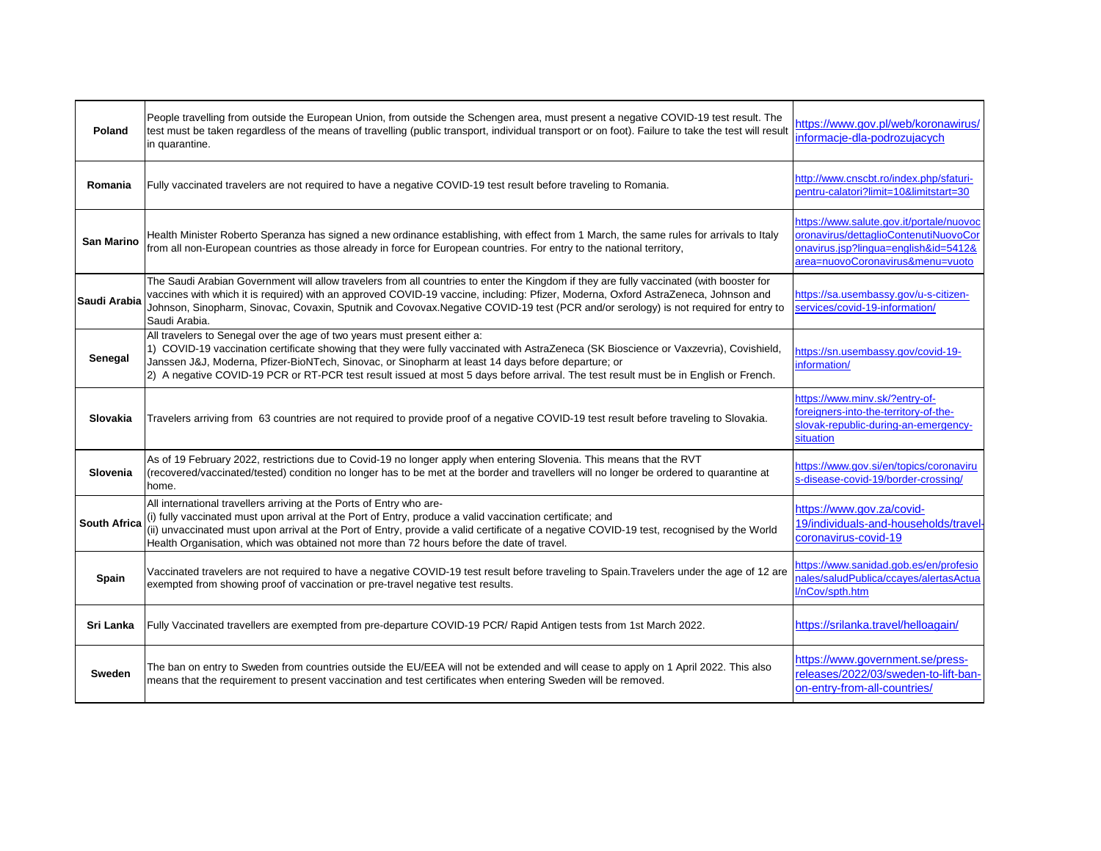| Poland              | People travelling from outside the European Union, from outside the Schengen area, must present a negative COVID-19 test result. The<br>test must be taken regardless of the means of travelling (public transport, individual transport or on foot). Failure to take the test will result<br>in quarantine.                                                                                                                                                      | https://www.gov.pl/web/koronawirus/<br>informacje-dla-podrozujacych                                                                                           |
|---------------------|-------------------------------------------------------------------------------------------------------------------------------------------------------------------------------------------------------------------------------------------------------------------------------------------------------------------------------------------------------------------------------------------------------------------------------------------------------------------|---------------------------------------------------------------------------------------------------------------------------------------------------------------|
| Romania             | Fully vaccinated travelers are not required to have a negative COVID-19 test result before traveling to Romania.                                                                                                                                                                                                                                                                                                                                                  | http://www.cnscbt.ro/index.php/sfaturi-<br>pentru-calatori?limit=10&limitstart=30                                                                             |
| <b>San Marino</b>   | Health Minister Roberto Speranza has signed a new ordinance establishing, with effect from 1 March, the same rules for arrivals to Italy<br>from all non-European countries as those already in force for European countries. For entry to the national territory,                                                                                                                                                                                                | https://www.salute.gov.it/portale/nuovoc<br>oronavirus/dettaglioContenutiNuovoCor<br>onavirus.jsp?lingua=english&id=5412&<br>area=nuovoCoronavirus&menu=vuoto |
| Saudi Arabia        | The Saudi Arabian Government will allow travelers from all countries to enter the Kingdom if they are fully vaccinated (with booster for<br>vaccines with which it is required) with an approved COVID-19 vaccine, including: Pfizer, Moderna, Oxford AstraZeneca, Johnson and<br>Johnson, Sinopharm, Sinovac, Covaxin, Sputnik and Covovax.Negative COVID-19 test (PCR and/or serology) is not required for entry to<br>Saudi Arabia.                            | https://sa.usembassy.gov/u-s-citizen-<br>services/covid-19-information/                                                                                       |
| Senegal             | All travelers to Senegal over the age of two years must present either a:<br>1) COVID-19 vaccination certificate showing that they were fully vaccinated with AstraZeneca (SK Bioscience or Vaxzevria), Covishield,<br>Janssen J&J, Moderna, Pfizer-BioNTech, Sinovac, or Sinopharm at least 14 days before departure; or<br>2) A negative COVID-19 PCR or RT-PCR test result issued at most 5 days before arrival. The test result must be in English or French. | https://sn.usembassy.gov/covid-19-<br>information/                                                                                                            |
| Slovakia            | Travelers arriving from 63 countries are not required to provide proof of a negative COVID-19 test result before traveling to Slovakia.                                                                                                                                                                                                                                                                                                                           | https://www.minv.sk/?entry-of-<br>foreigners-into-the-territory-of-the-<br>slovak-republic-during-an-emergency-<br>situation                                  |
| Slovenia            | As of 19 February 2022, restrictions due to Covid-19 no longer apply when entering Slovenia. This means that the RVT<br>(recovered/vaccinated/tested) condition no longer has to be met at the border and travellers will no longer be ordered to quarantine at<br>home.                                                                                                                                                                                          | https://www.gov.si/en/topics/coronaviru<br>s-disease-covid-19/border-crossing/                                                                                |
| <b>South Africa</b> | All international travellers arriving at the Ports of Entry who are-<br>(i) fully vaccinated must upon arrival at the Port of Entry, produce a valid vaccination certificate; and<br>(ii) unvaccinated must upon arrival at the Port of Entry, provide a valid certificate of a negative COVID-19 test, recognised by the World<br>Health Organisation, which was obtained not more than 72 hours before the date of travel.                                      | https://www.gov.za/covid-<br>19/individuals-and-households/travel-<br>coronavirus-covid-19                                                                    |
| <b>Spain</b>        | Vaccinated travelers are not required to have a negative COVID-19 test result before traveling to Spain. Travelers under the age of 12 are<br>exempted from showing proof of vaccination or pre-travel negative test results.                                                                                                                                                                                                                                     | https://www.sanidad.gob.es/en/profesio<br>nales/saludPublica/ccayes/alertasActua<br>I/nCov/spth.htm                                                           |
| Sri Lanka           | Fully Vaccinated travellers are exempted from pre-departure COVID-19 PCR/ Rapid Antigen tests from 1st March 2022.                                                                                                                                                                                                                                                                                                                                                | https://srilanka.travel/helloagain/                                                                                                                           |
| <b>Sweden</b>       | The ban on entry to Sweden from countries outside the EU/EEA will not be extended and will cease to apply on 1 April 2022. This also<br>means that the requirement to present vaccination and test certificates when entering Sweden will be removed.                                                                                                                                                                                                             | https://www.government.se/press-<br>releases/2022/03/sweden-to-lift-ban-<br>on-entry-from-all-countries/                                                      |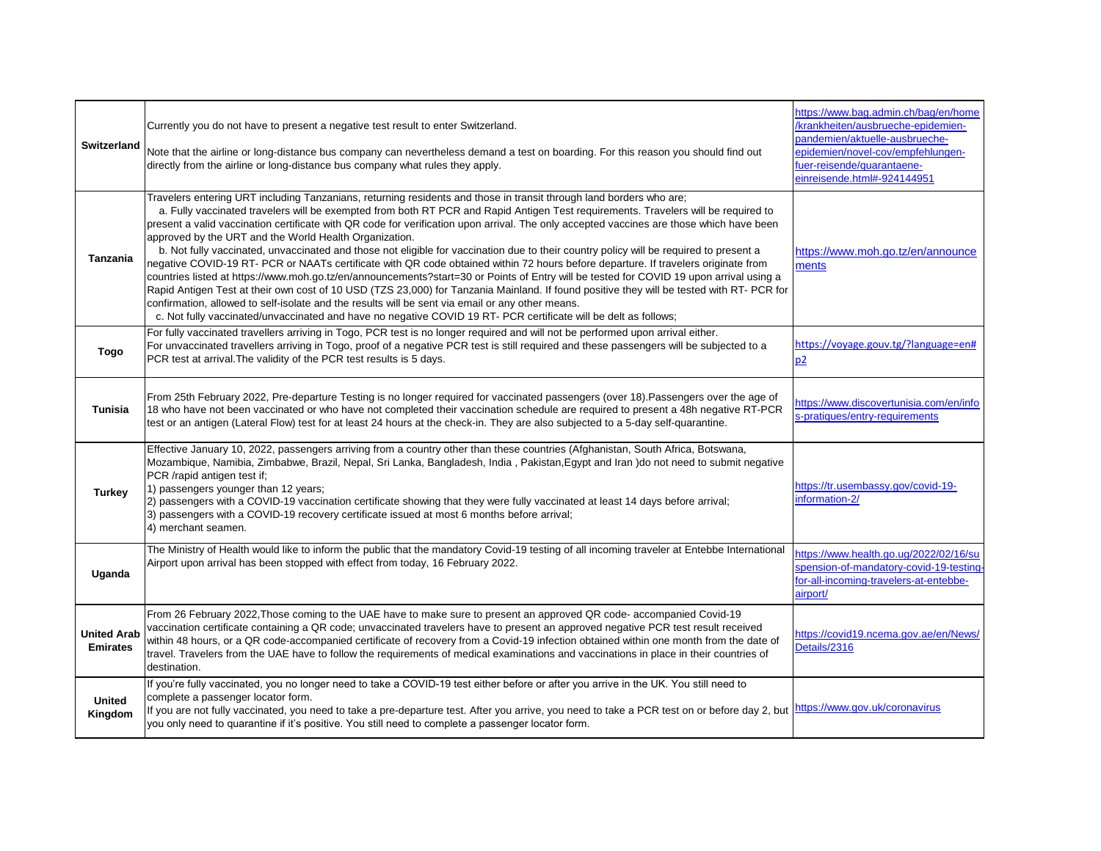| Switzerland                           | Currently you do not have to present a negative test result to enter Switzerland.<br>Note that the airline or long-distance bus company can nevertheless demand a test on boarding. For this reason you should find out<br>directly from the airline or long-distance bus company what rules they apply.                                                                                                                                                                                                                                                                                                                                                                                                                                                                                                                                                                                                                                                                                                                                                                                                                                                                                                                                                       | https://www.bag.admin.ch/bag/en/home<br>/krankheiten/ausbrueche-epidemien-<br>pandemien/aktuelle-ausbrueche-<br>epidemien/novel-cov/empfehlungen-<br>fuer-reisende/quarantaene-<br>einreisende.html#-924144951 |
|---------------------------------------|----------------------------------------------------------------------------------------------------------------------------------------------------------------------------------------------------------------------------------------------------------------------------------------------------------------------------------------------------------------------------------------------------------------------------------------------------------------------------------------------------------------------------------------------------------------------------------------------------------------------------------------------------------------------------------------------------------------------------------------------------------------------------------------------------------------------------------------------------------------------------------------------------------------------------------------------------------------------------------------------------------------------------------------------------------------------------------------------------------------------------------------------------------------------------------------------------------------------------------------------------------------|----------------------------------------------------------------------------------------------------------------------------------------------------------------------------------------------------------------|
| <b>Tanzania</b>                       | Travelers entering URT including Tanzanians, returning residents and those in transit through land borders who are;<br>a. Fully vaccinated travelers will be exempted from both RT PCR and Rapid Antigen Test requirements. Travelers will be required to<br>present a valid vaccination certificate with QR code for verification upon arrival. The only accepted vaccines are those which have been<br>approved by the URT and the World Health Organization.<br>b. Not fully vaccinated, unvaccinated and those not eligible for vaccination due to their country policy will be required to present a<br>negative COVID-19 RT- PCR or NAATs certificate with QR code obtained within 72 hours before departure. If travelers originate from<br>countries listed at https://www.moh.go.tz/en/announcements?start=30 or Points of Entry will be tested for COVID 19 upon arrival using a<br>Rapid Antigen Test at their own cost of 10 USD (TZS 23,000) for Tanzania Mainland. If found positive they will be tested with RT- PCR for<br>confirmation, allowed to self-isolate and the results will be sent via email or any other means.<br>c. Not fully vaccinated/unvaccinated and have no negative COVID 19 RT- PCR certificate will be delt as follows; | https://www.moh.go.tz/en/announce<br>ments                                                                                                                                                                     |
| <b>Togo</b>                           | For fully vaccinated travellers arriving in Togo, PCR test is no longer required and will not be performed upon arrival either.<br>For unvaccinated travellers arriving in Togo, proof of a negative PCR test is still required and these passengers will be subjected to a<br>PCR test at arrival. The validity of the PCR test results is 5 days.                                                                                                                                                                                                                                                                                                                                                                                                                                                                                                                                                                                                                                                                                                                                                                                                                                                                                                            | https://voyage.gouv.tg/?language=en#<br>p2                                                                                                                                                                     |
| <b>Tunisia</b>                        | From 25th February 2022, Pre-departure Testing is no longer required for vaccinated passengers (over 18).Passengers over the age of<br>18 who have not been vaccinated or who have not completed their vaccination schedule are required to present a 48h negative RT-PCR<br>test or an antigen (Lateral Flow) test for at least 24 hours at the check-in. They are also subjected to a 5-day self-quarantine.                                                                                                                                                                                                                                                                                                                                                                                                                                                                                                                                                                                                                                                                                                                                                                                                                                                 | https://www.discovertunisia.com/en/info<br>s-pratiques/entry-requirements                                                                                                                                      |
| <b>Turkey</b>                         | Effective January 10, 2022, passengers arriving from a country other than these countries (Afghanistan, South Africa, Botswana,<br>Mozambique, Namibia, Zimbabwe, Brazil, Nepal, Sri Lanka, Bangladesh, India, Pakistan, Egypt and Iran )do not need to submit negative<br>PCR /rapid antigen test if;<br>1) passengers younger than 12 years;<br>[2) passengers with a COVID-19 vaccination certificate showing that they were fully vaccinated at least 14 days before arrival;<br>(3) passengers with a COVID-19 recovery certificate issued at most 6 months before arrival;<br>4) merchant seamen.                                                                                                                                                                                                                                                                                                                                                                                                                                                                                                                                                                                                                                                        | https://tr.usembassy.gov/covid-19-<br>information-2/                                                                                                                                                           |
| Uganda                                | The Ministry of Health would like to inform the public that the mandatory Covid-19 testing of all incoming traveler at Entebbe International<br>Airport upon arrival has been stopped with effect from today, 16 February 2022.                                                                                                                                                                                                                                                                                                                                                                                                                                                                                                                                                                                                                                                                                                                                                                                                                                                                                                                                                                                                                                | https://www.health.go.ug/2022/02/16/su<br>spension-of-mandatory-covid-19-testing<br>for-all-incoming-travelers-at-entebbe-<br>airport/                                                                         |
| <b>United Arab</b><br><b>Emirates</b> | From 26 February 2022, Those coming to the UAE have to make sure to present an approved QR code-accompanied Covid-19<br>vaccination certificate containing a QR code; unvaccinated travelers have to present an approved negative PCR test result received<br>within 48 hours, or a QR code-accompanied certificate of recovery from a Covid-19 infection obtained within one month from the date of<br>travel. Travelers from the UAE have to follow the requirements of medical examinations and vaccinations in place in their countries of<br>destination.                                                                                                                                                                                                                                                                                                                                                                                                                                                                                                                                                                                                                                                                                                 | https://covid19.ncema.gov.ae/en/News/<br>Details/2316                                                                                                                                                          |
| <b>United</b><br>Kingdom              | If you're fully vaccinated, you no longer need to take a COVID-19 test either before or after you arrive in the UK. You still need to<br>complete a passenger locator form.<br>If you are not fully vaccinated, you need to take a pre-departure test. After you arrive, you need to take a PCR test on or before day 2, but https://www.gov.uk/coronavirus<br>you only need to quarantine if it's positive. You still need to complete a passenger locator form.                                                                                                                                                                                                                                                                                                                                                                                                                                                                                                                                                                                                                                                                                                                                                                                              |                                                                                                                                                                                                                |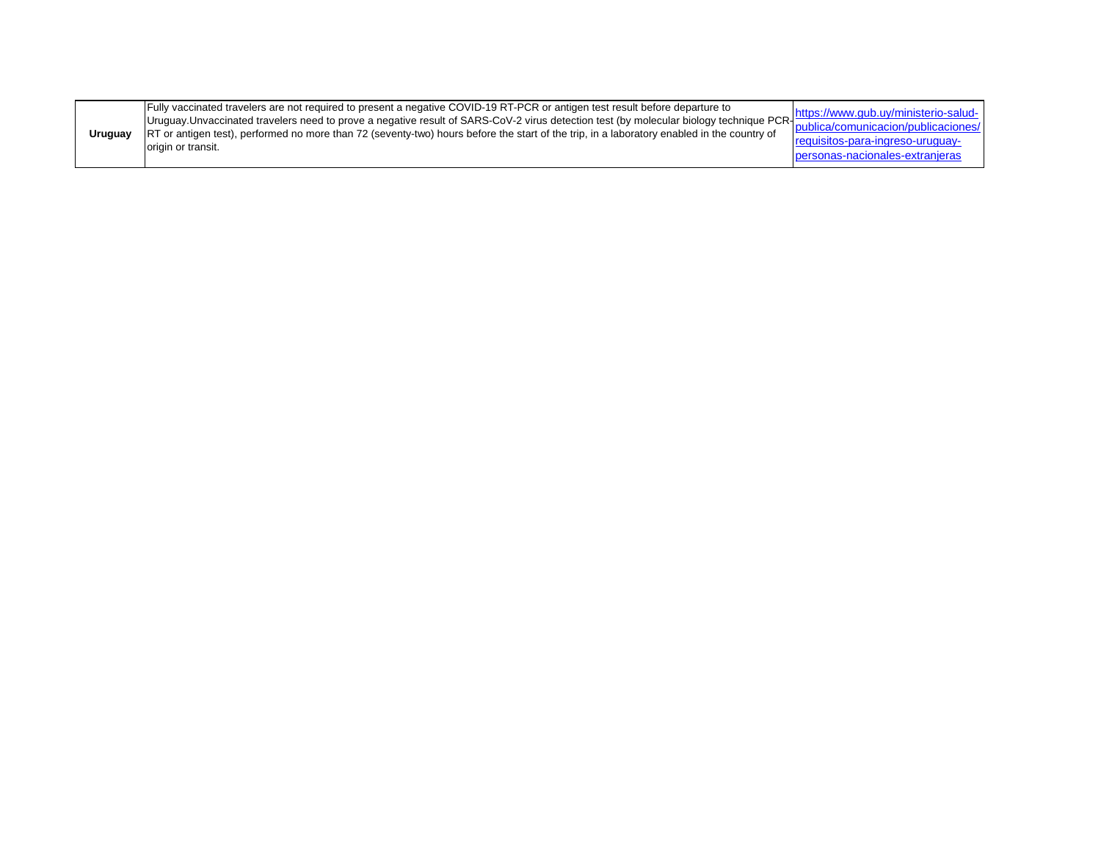| Uruquay | Fully vaccinated travelers are not required to present a negative COVID-19 RT-PCR or antigen test result before departure to<br>Uruguay.Unvaccinated travelers need to prove a negative result of SARS-CoV-2 virus detection test (by molecular biology technique PCR-<br>RT or antigen test), performed no more than 72 (seventy-two) hours before the start of the trip, in a laboratory enabled in the country of<br>origin or transit. | https://www.gub.uy/ministerio-salud-<br>publica/comunicacion/publicaciones/<br>requisitos-para-ingreso-uruguay-<br>personas-nacionales-extranjeras |
|---------|--------------------------------------------------------------------------------------------------------------------------------------------------------------------------------------------------------------------------------------------------------------------------------------------------------------------------------------------------------------------------------------------------------------------------------------------|----------------------------------------------------------------------------------------------------------------------------------------------------|
|---------|--------------------------------------------------------------------------------------------------------------------------------------------------------------------------------------------------------------------------------------------------------------------------------------------------------------------------------------------------------------------------------------------------------------------------------------------|----------------------------------------------------------------------------------------------------------------------------------------------------|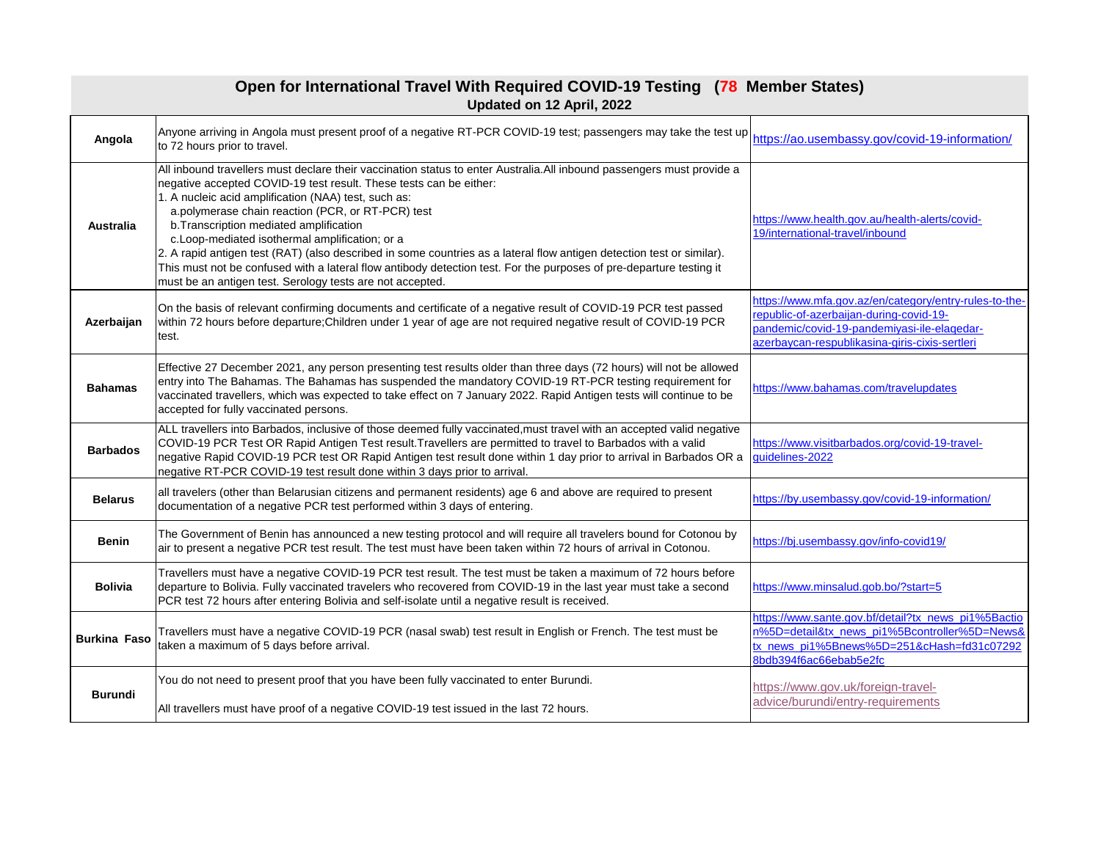| Open for International Travel With Required COVID-19 Testing (78 Member States)<br>Updated on 12 April, 2022 |                                                                                                                                                                                                                                                                                                                                                                                                                                                                                                                                                                                                                                                                                                                     |                                                                                                                                                                                                    |
|--------------------------------------------------------------------------------------------------------------|---------------------------------------------------------------------------------------------------------------------------------------------------------------------------------------------------------------------------------------------------------------------------------------------------------------------------------------------------------------------------------------------------------------------------------------------------------------------------------------------------------------------------------------------------------------------------------------------------------------------------------------------------------------------------------------------------------------------|----------------------------------------------------------------------------------------------------------------------------------------------------------------------------------------------------|
| Angola                                                                                                       | Anyone arriving in Angola must present proof of a negative RT-PCR COVID-19 test; passengers may take the test up<br>to 72 hours prior to travel.                                                                                                                                                                                                                                                                                                                                                                                                                                                                                                                                                                    | https://ao.usembassy.gov/covid-19-information/                                                                                                                                                     |
| <b>Australia</b>                                                                                             | All inbound travellers must declare their vaccination status to enter Australia. All inbound passengers must provide a<br>negative accepted COVID-19 test result. These tests can be either:<br>1. A nucleic acid amplification (NAA) test, such as:<br>a.polymerase chain reaction (PCR, or RT-PCR) test<br>b. Transcription mediated amplification<br>c.Loop-mediated isothermal amplification; or a<br>2. A rapid antigen test (RAT) (also described in some countries as a lateral flow antigen detection test or similar).<br>This must not be confused with a lateral flow antibody detection test. For the purposes of pre-departure testing it<br>must be an antigen test. Serology tests are not accepted. | https://www.health.gov.au/health-alerts/covid-<br>19/international-travel/inbound                                                                                                                  |
| Azerbaijan                                                                                                   | On the basis of relevant confirming documents and certificate of a negative result of COVID-19 PCR test passed<br>within 72 hours before departure; Children under 1 year of age are not required negative result of COVID-19 PCR<br>test.                                                                                                                                                                                                                                                                                                                                                                                                                                                                          | https://www.mfa.gov.az/en/category/entry-rules-to-the-<br>republic-of-azerbaijan-during-covid-19-<br>pandemic/covid-19-pandemiyasi-ile-elaqedar-<br>azerbaycan-respublikasina-giris-cixis-sertleri |
| <b>Bahamas</b>                                                                                               | Effective 27 December 2021, any person presenting test results older than three days (72 hours) will not be allowed<br>entry into The Bahamas. The Bahamas has suspended the mandatory COVID-19 RT-PCR testing requirement for<br>vaccinated travellers, which was expected to take effect on 7 January 2022. Rapid Antigen tests will continue to be<br>accepted for fully vaccinated persons.                                                                                                                                                                                                                                                                                                                     | https://www.bahamas.com/travelupdates                                                                                                                                                              |
| <b>Barbados</b>                                                                                              | ALL travellers into Barbados, inclusive of those deemed fully vaccinated, must travel with an accepted valid negative<br>COVID-19 PCR Test OR Rapid Antigen Test result. Travellers are permitted to travel to Barbados with a valid<br>negative Rapid COVID-19 PCR test OR Rapid Antigen test result done within 1 day prior to arrival in Barbados OR a<br>negative RT-PCR COVID-19 test result done within 3 days prior to arrival.                                                                                                                                                                                                                                                                              | https://www.visitbarbados.org/covid-19-travel-<br>guidelines-2022                                                                                                                                  |
| <b>Belarus</b>                                                                                               | all travelers (other than Belarusian citizens and permanent residents) age 6 and above are required to present<br>documentation of a negative PCR test performed within 3 days of entering.                                                                                                                                                                                                                                                                                                                                                                                                                                                                                                                         | https://by.usembassy.gov/covid-19-information/                                                                                                                                                     |
| <b>Benin</b>                                                                                                 | The Government of Benin has announced a new testing protocol and will require all travelers bound for Cotonou by<br>air to present a negative PCR test result. The test must have been taken within 72 hours of arrival in Cotonou.                                                                                                                                                                                                                                                                                                                                                                                                                                                                                 | https://bj.usembassy.gov/info-covid19/                                                                                                                                                             |
| <b>Bolivia</b>                                                                                               | Travellers must have a negative COVID-19 PCR test result. The test must be taken a maximum of 72 hours before<br>departure to Bolivia. Fully vaccinated travelers who recovered from COVID-19 in the last year must take a second<br>PCR test 72 hours after entering Bolivia and self-isolate until a negative result is received.                                                                                                                                                                                                                                                                                                                                                                                 | https://www.minsalud.gob.bo/?start=5                                                                                                                                                               |
| <b>Burkina Faso</b>                                                                                          | Travellers must have a negative COVID-19 PCR (nasal swab) test result in English or French. The test must be<br>taken a maximum of 5 days before arrival.                                                                                                                                                                                                                                                                                                                                                                                                                                                                                                                                                           | https://www.sante.gov.bf/detail?tx_news_pi1%5Bactio<br>n%5D=detail&tx_news_pi1%5Bcontroller%5D=News&<br>tx news pi1%5Bnews%5D=251&cHash=fd31c07292<br>8bdb394f6ac66ebab5e2fc                       |
| <b>Burundi</b>                                                                                               | You do not need to present proof that you have been fully vaccinated to enter Burundi.                                                                                                                                                                                                                                                                                                                                                                                                                                                                                                                                                                                                                              | https://www.gov.uk/foreign-travel-                                                                                                                                                                 |
|                                                                                                              | All travellers must have proof of a negative COVID-19 test issued in the last 72 hours.                                                                                                                                                                                                                                                                                                                                                                                                                                                                                                                                                                                                                             | advice/burundi/entry-requirements                                                                                                                                                                  |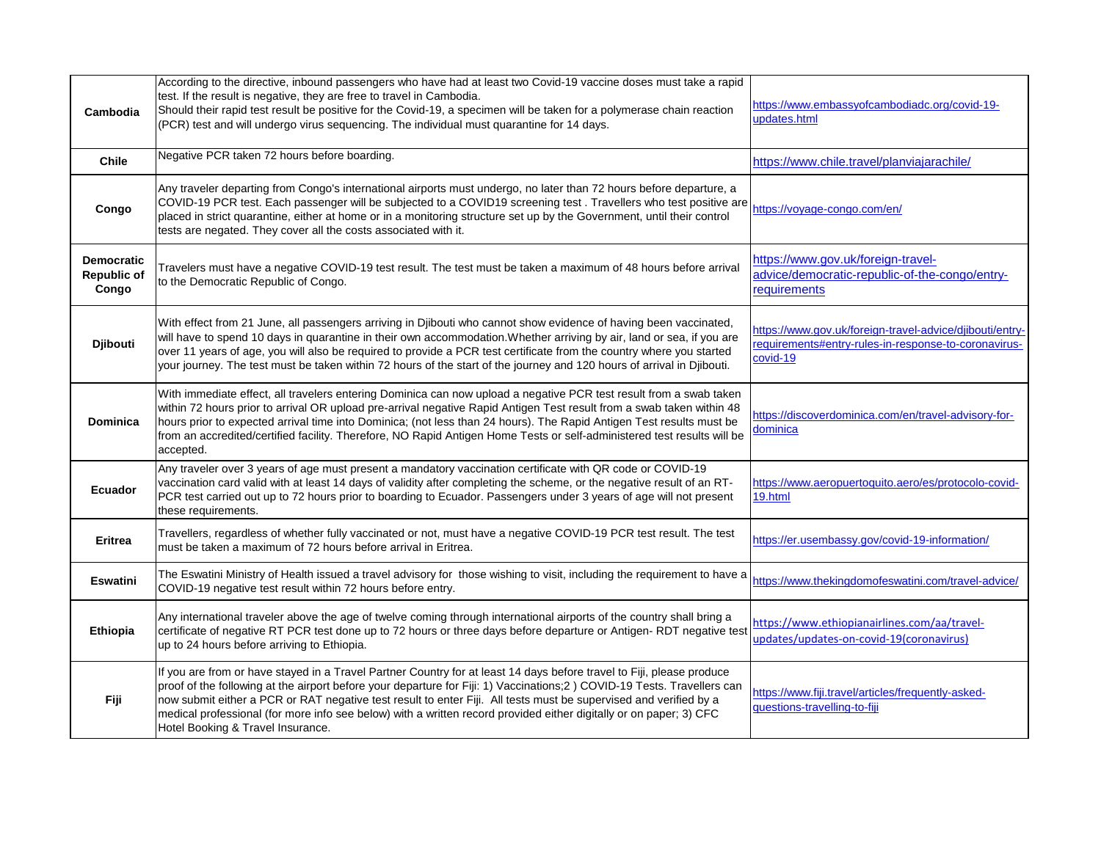| Cambodia                                         | According to the directive, inbound passengers who have had at least two Covid-19 vaccine doses must take a rapid<br>test. If the result is negative, they are free to travel in Cambodia.<br>Should their rapid test result be positive for the Covid-19, a specimen will be taken for a polymerase chain reaction<br>(PCR) test and will undergo virus sequencing. The individual must quarantine for 14 days.                                                                                                                 | https://www.embassyofcambodiadc.org/covid-19-<br>updates.html                                                                |
|--------------------------------------------------|----------------------------------------------------------------------------------------------------------------------------------------------------------------------------------------------------------------------------------------------------------------------------------------------------------------------------------------------------------------------------------------------------------------------------------------------------------------------------------------------------------------------------------|------------------------------------------------------------------------------------------------------------------------------|
| <b>Chile</b>                                     | Negative PCR taken 72 hours before boarding.                                                                                                                                                                                                                                                                                                                                                                                                                                                                                     | https://www.chile.travel/planviajarachile/                                                                                   |
| Congo                                            | Any traveler departing from Congo's international airports must undergo, no later than 72 hours before departure, a<br>COVID-19 PCR test. Each passenger will be subjected to a COVID19 screening test. Travellers who test positive are<br>placed in strict quarantine, either at home or in a monitoring structure set up by the Government, until their control<br>tests are negated. They cover all the costs associated with it.                                                                                            | https://voyage-congo.com/en/                                                                                                 |
| <b>Democratic</b><br><b>Republic of</b><br>Congo | Travelers must have a negative COVID-19 test result. The test must be taken a maximum of 48 hours before arrival<br>to the Democratic Republic of Congo.                                                                                                                                                                                                                                                                                                                                                                         | https://www.gov.uk/foreign-travel-<br>advice/democratic-republic-of-the-congo/entry-<br>requirements                         |
| <b>Djibouti</b>                                  | With effect from 21 June, all passengers arriving in Djibouti who cannot show evidence of having been vaccinated,<br>will have to spend 10 days in quarantine in their own accommodation. Whether arriving by air, land or sea, if you are<br>over 11 years of age, you will also be required to provide a PCR test certificate from the country where you started<br>your journey. The test must be taken within 72 hours of the start of the journey and 120 hours of arrival in Djibouti.                                     | https://www.gov.uk/foreign-travel-advice/djibouti/entry-<br>requirements#entry-rules-in-response-to-coronavirus-<br>covid-19 |
| <b>Dominica</b>                                  | With immediate effect, all travelers entering Dominica can now upload a negative PCR test result from a swab taken<br>within 72 hours prior to arrival OR upload pre-arrival negative Rapid Antigen Test result from a swab taken within 48<br>hours prior to expected arrival time into Dominica; (not less than 24 hours). The Rapid Antigen Test results must be<br>from an accredited/certified facility. Therefore, NO Rapid Antigen Home Tests or self-administered test results will be<br>accepted.                      | https://discoverdominica.com/en/travel-advisory-for-<br>dominica                                                             |
| <b>Ecuador</b>                                   | Any traveler over 3 years of age must present a mandatory vaccination certificate with QR code or COVID-19<br>vaccination card valid with at least 14 days of validity after completing the scheme, or the negative result of an RT-<br>PCR test carried out up to 72 hours prior to boarding to Ecuador. Passengers under 3 years of age will not present<br>these requirements.                                                                                                                                                | https://www.aeropuertoquito.aero/es/protocolo-covid-<br>19.html                                                              |
| <b>Eritrea</b>                                   | Travellers, regardless of whether fully vaccinated or not, must have a negative COVID-19 PCR test result. The test<br>must be taken a maximum of 72 hours before arrival in Eritrea.                                                                                                                                                                                                                                                                                                                                             | https://er.usembassy.gov/covid-19-information/                                                                               |
| <b>Eswatini</b>                                  | The Eswatini Ministry of Health issued a travel advisory for those wishing to visit, including the requirement to have a<br>COVID-19 negative test result within 72 hours before entry.                                                                                                                                                                                                                                                                                                                                          | https://www.thekingdomofeswatini.com/travel-advice/                                                                          |
| Ethiopia                                         | Any international traveler above the age of twelve coming through international airports of the country shall bring a<br>certificate of negative RT PCR test done up to 72 hours or three days before departure or Antigen- RDT negative test<br>up to 24 hours before arriving to Ethiopia.                                                                                                                                                                                                                                     | https://www.ethiopianairlines.com/aa/travel-<br>updates/updates-on-covid-19(coronavirus)                                     |
| Fiji                                             | If you are from or have stayed in a Travel Partner Country for at least 14 days before travel to Fiji, please produce<br>proof of the following at the airport before your departure for Fiji: 1) Vaccinations;2) COVID-19 Tests. Travellers can<br>now submit either a PCR or RAT negative test result to enter Fiji. All tests must be supervised and verified by a<br>medical professional (for more info see below) with a written record provided either digitally or on paper; 3) CFC<br>Hotel Booking & Travel Insurance. | https://www.fiji.travel/articles/frequently-asked-<br>questions-travelling-to-fiji                                           |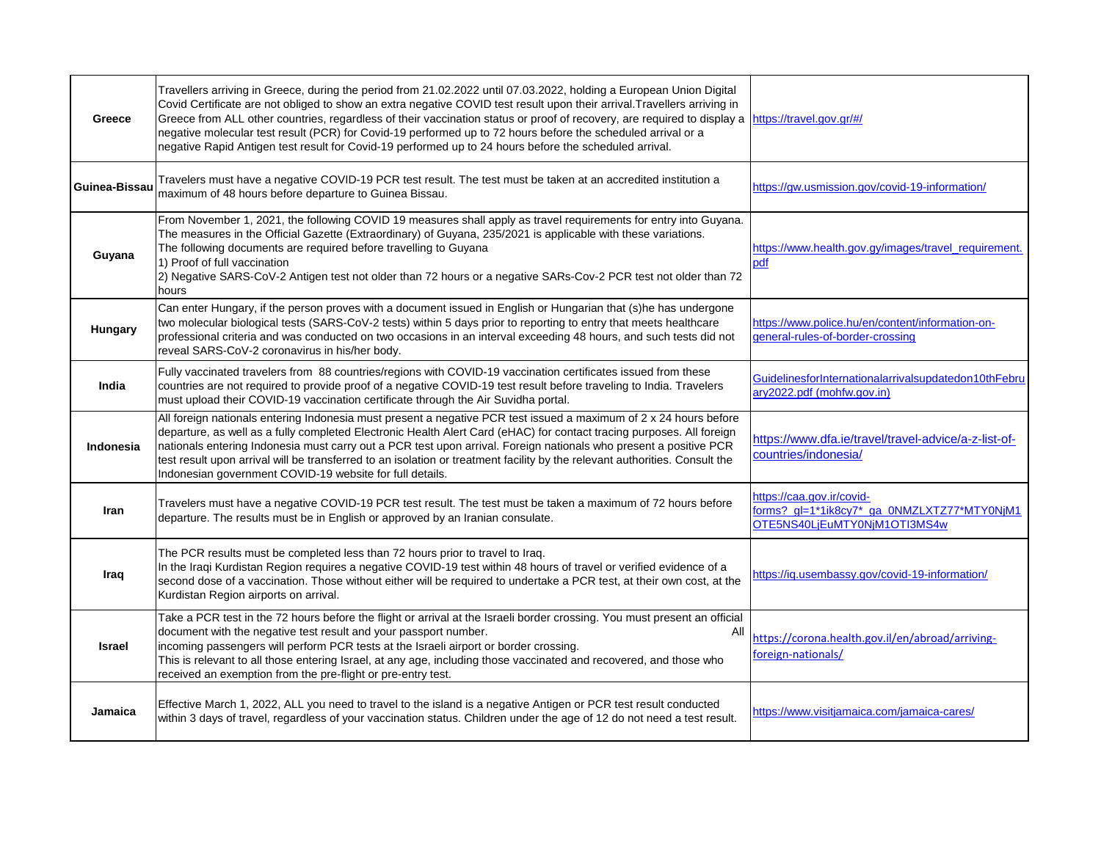| <b>Greece</b>  | Travellers arriving in Greece, during the period from 21.02.2022 until 07.03.2022, holding a European Union Digital<br>Covid Certificate are not obliged to show an extra negative COVID test result upon their arrival. Travellers arriving in<br>Greece from ALL other countries, regardless of their vaccination status or proof of recovery, are required to display a https://travel.gov.gr/#/<br>negative molecular test result (PCR) for Covid-19 performed up to 72 hours before the scheduled arrival or a<br>negative Rapid Antigen test result for Covid-19 performed up to 24 hours before the scheduled arrival. |                                                                                                          |
|----------------|-------------------------------------------------------------------------------------------------------------------------------------------------------------------------------------------------------------------------------------------------------------------------------------------------------------------------------------------------------------------------------------------------------------------------------------------------------------------------------------------------------------------------------------------------------------------------------------------------------------------------------|----------------------------------------------------------------------------------------------------------|
| Guinea-Bissau  | Travelers must have a negative COVID-19 PCR test result. The test must be taken at an accredited institution a<br>maximum of 48 hours before departure to Guinea Bissau.                                                                                                                                                                                                                                                                                                                                                                                                                                                      | https://gw.usmission.gov/covid-19-information/                                                           |
| Guyana         | From November 1, 2021, the following COVID 19 measures shall apply as travel requirements for entry into Guyana.<br>The measures in the Official Gazette (Extraordinary) of Guyana, 235/2021 is applicable with these variations.<br>The following documents are required before travelling to Guyana<br>1) Proof of full vaccination<br>2) Negative SARS-CoV-2 Antigen test not older than 72 hours or a negative SARs-Cov-2 PCR test not older than 72<br>hours                                                                                                                                                             | https://www.health.gov.gy/images/travel_requirement.<br>pdf                                              |
| <b>Hungary</b> | Can enter Hungary, if the person proves with a document issued in English or Hungarian that (s)he has undergone<br>two molecular biological tests (SARS-CoV-2 tests) within 5 days prior to reporting to entry that meets healthcare<br>professional criteria and was conducted on two occasions in an interval exceeding 48 hours, and such tests did not<br>reveal SARS-CoV-2 coronavirus in his/her body.                                                                                                                                                                                                                  | https://www.police.hu/en/content/information-on-<br>general-rules-of-border-crossing                     |
| India          | Fully vaccinated travelers from 88 countries/regions with COVID-19 vaccination certificates issued from these<br>countries are not required to provide proof of a negative COVID-19 test result before traveling to India. Travelers<br>must upload their COVID-19 vaccination certificate through the Air Suvidha portal.                                                                                                                                                                                                                                                                                                    | GuidelinesforInternationalarrivalsupdatedon10thFebru<br>ary2022.pdf (mohfw.gov.in)                       |
| Indonesia      | All foreign nationals entering Indonesia must present a negative PCR test issued a maximum of 2 x 24 hours before<br>departure, as well as a fully completed Electronic Health Alert Card (eHAC) for contact tracing purposes. All foreign<br>nationals entering Indonesia must carry out a PCR test upon arrival. Foreign nationals who present a positive PCR<br>test result upon arrival will be transferred to an isolation or treatment facility by the relevant authorities. Consult the<br>Indonesian government COVID-19 website for full details.                                                                    | https://www.dfa.ie/travel/travel-advice/a-z-list-of-<br>countries/indonesia/                             |
| Iran           | Travelers must have a negative COVID-19 PCR test result. The test must be taken a maximum of 72 hours before<br>departure. The results must be in English or approved by an Iranian consulate.                                                                                                                                                                                                                                                                                                                                                                                                                                | https://caa.gov.ir/covid-<br>forms?_gl=1*1ik8cy7*_ga_0NMZLXTZ77*MTY0NjM1<br>OTE5NS40LjEuMTY0NjM1OTI3MS4w |
| Iraq           | The PCR results must be completed less than 72 hours prior to travel to Iraq.<br>In the Iraqi Kurdistan Region requires a negative COVID-19 test within 48 hours of travel or verified evidence of a<br>Isecond dose of a vaccination. Those without either will be required to undertake a PCR test, at their own cost, at the<br>Kurdistan Region airports on arrival.                                                                                                                                                                                                                                                      | https://iq.usembassy.gov/covid-19-information/                                                           |
| <b>Israel</b>  | Take a PCR test in the 72 hours before the flight or arrival at the Israeli border crossing. You must present an official<br>document with the negative test result and your passport number.<br>All<br>incoming passengers will perform PCR tests at the Israeli airport or border crossing.<br>This is relevant to all those entering Israel, at any age, including those vaccinated and recovered, and those who<br>received an exemption from the pre-flight or pre-entry test.                                                                                                                                           | https://corona.health.gov.il/en/abroad/arriving-<br>foreign-nationals/                                   |
| Jamaica        | Effective March 1, 2022, ALL you need to travel to the island is a negative Antigen or PCR test result conducted<br>within 3 days of travel, regardless of your vaccination status. Children under the age of 12 do not need a test result.                                                                                                                                                                                                                                                                                                                                                                                   | https://www.visitjamaica.com/jamaica-cares/                                                              |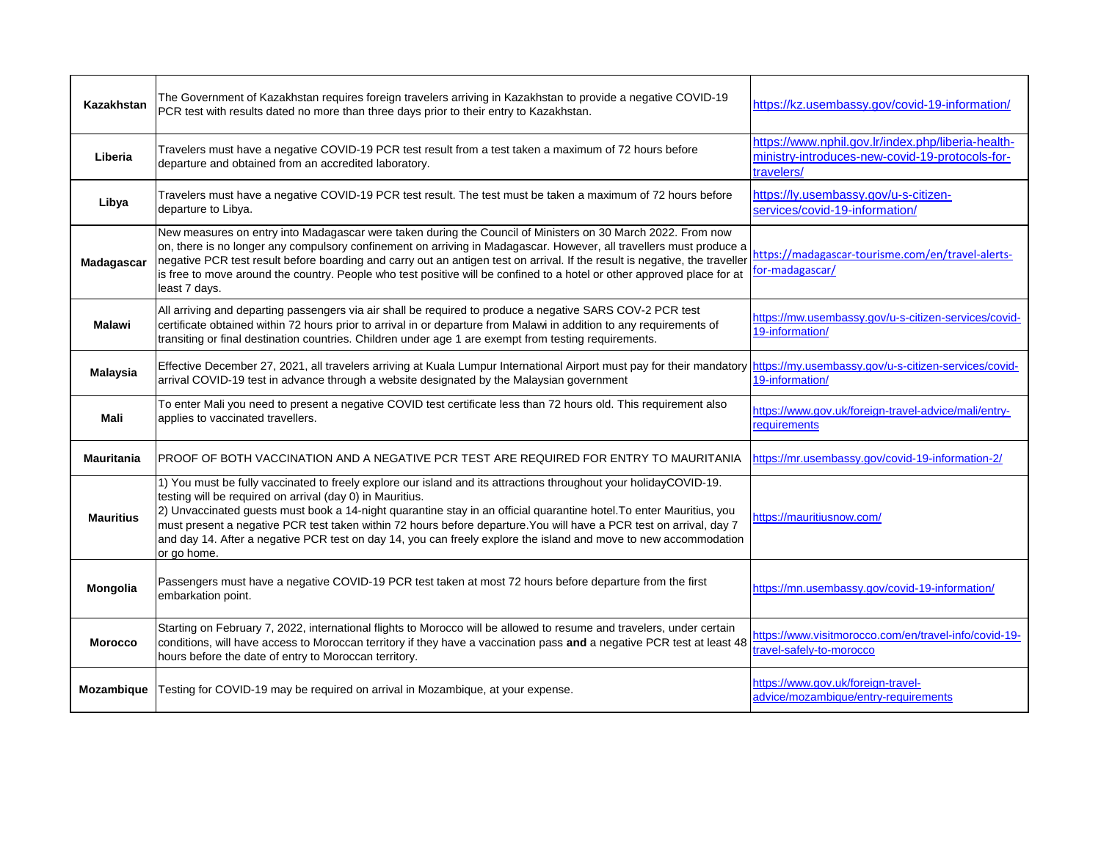| <b>Kazakhstan</b> | The Government of Kazakhstan requires foreign travelers arriving in Kazakhstan to provide a negative COVID-19<br>PCR test with results dated no more than three days prior to their entry to Kazakhstan.                                                                                                                                                                                                                                                                                                                                                         | https://kz.usembassy.gov/covid-19-information/                                                                      |
|-------------------|------------------------------------------------------------------------------------------------------------------------------------------------------------------------------------------------------------------------------------------------------------------------------------------------------------------------------------------------------------------------------------------------------------------------------------------------------------------------------------------------------------------------------------------------------------------|---------------------------------------------------------------------------------------------------------------------|
| Liberia           | Travelers must have a negative COVID-19 PCR test result from a test taken a maximum of 72 hours before<br>departure and obtained from an accredited laboratory.                                                                                                                                                                                                                                                                                                                                                                                                  | https://www.nphil.gov.lr/index.php/liberia-health-<br>ministry-introduces-new-covid-19-protocols-for-<br>travelers/ |
| Libya             | Travelers must have a negative COVID-19 PCR test result. The test must be taken a maximum of 72 hours before<br>departure to Libya.                                                                                                                                                                                                                                                                                                                                                                                                                              | https://ly.usembassy.gov/u-s-citizen-<br>services/covid-19-information/                                             |
| <b>Madagascar</b> | New measures on entry into Madagascar were taken during the Council of Ministers on 30 March 2022. From now<br>on, there is no longer any compulsory confinement on arriving in Madagascar. However, all travellers must produce a<br>negative PCR test result before boarding and carry out an antigen test on arrival. If the result is negative, the traveller<br>is free to move around the country. People who test positive will be confined to a hotel or other approved place for at<br>least 7 days.                                                    | https://madagascar-tourisme.com/en/travel-alerts-<br>for-madagascar/                                                |
| <b>Malawi</b>     | All arriving and departing passengers via air shall be required to produce a negative SARS COV-2 PCR test<br>certificate obtained within 72 hours prior to arrival in or departure from Malawi in addition to any requirements of<br>transiting or final destination countries. Children under age 1 are exempt from testing requirements.                                                                                                                                                                                                                       | https://mw.usembassy.gov/u-s-citizen-services/covid-<br>19-information/                                             |
| <b>Malaysia</b>   | Effective December 27, 2021, all travelers arriving at Kuala Lumpur International Airport must pay for their mandatory https://my.usembassy.gov/u-s-citizen-services/covid-<br>arrival COVID-19 test in advance through a website designated by the Malaysian government                                                                                                                                                                                                                                                                                         | 19-information/                                                                                                     |
| <b>Mali</b>       | To enter Mali you need to present a negative COVID test certificate less than 72 hours old. This requirement also<br>applies to vaccinated travellers.                                                                                                                                                                                                                                                                                                                                                                                                           | https://www.gov.uk/foreign-travel-advice/mali/entry-<br>requirements                                                |
| <b>Mauritania</b> | PROOF OF BOTH VACCINATION AND A NEGATIVE PCR TEST ARE REQUIRED FOR ENTRY TO MAURITANIA                                                                                                                                                                                                                                                                                                                                                                                                                                                                           | https://mr.usembassy.gov/covid-19-information-2/                                                                    |
| <b>Mauritius</b>  | 1) You must be fully vaccinated to freely explore our island and its attractions throughout your holidayCOVID-19.<br>testing will be required on arrival (day 0) in Mauritius.<br>2) Unvaccinated guests must book a 14-night quarantine stay in an official quarantine hotel. To enter Mauritius, you<br>must present a negative PCR test taken within 72 hours before departure. You will have a PCR test on arrival, day 7<br>and day 14. After a negative PCR test on day 14, you can freely explore the island and move to new accommodation<br>or go home. | https://mauritiusnow.com/                                                                                           |
| Mongolia          | Passengers must have a negative COVID-19 PCR test taken at most 72 hours before departure from the first<br>embarkation point.                                                                                                                                                                                                                                                                                                                                                                                                                                   | https://mn.usembassy.gov/covid-19-information/                                                                      |
| <b>Morocco</b>    | Starting on February 7, 2022, international flights to Morocco will be allowed to resume and travelers, under certain<br>conditions, will have access to Moroccan territory if they have a vaccination pass and a negative PCR test at least 48<br>hours before the date of entry to Moroccan territory.                                                                                                                                                                                                                                                         | https://www.visitmorocco.com/en/travel-info/covid-19-<br>travel-safely-to-morocco                                   |
| Mozambique        | Testing for COVID-19 may be required on arrival in Mozambique, at your expense.                                                                                                                                                                                                                                                                                                                                                                                                                                                                                  | https://www.gov.uk/foreign-travel-<br>advice/mozambique/entry-requirements                                          |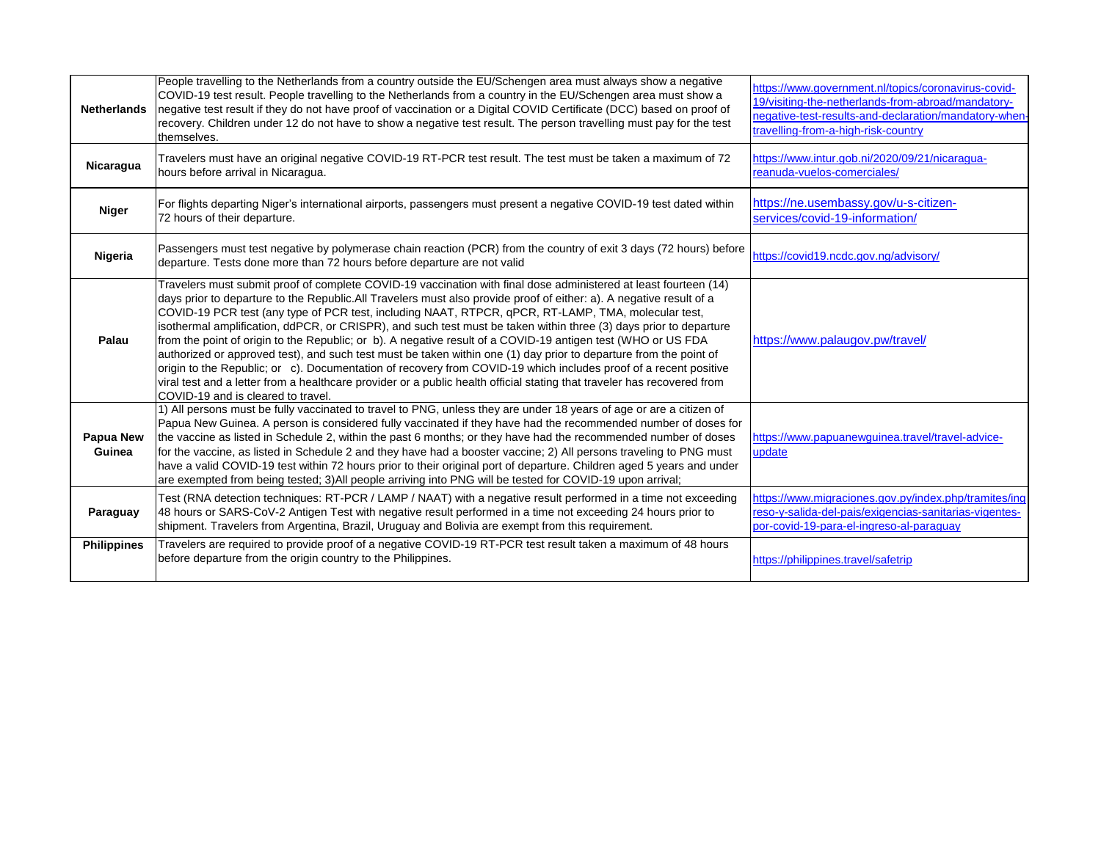| <b>Netherlands</b>         | People travelling to the Netherlands from a country outside the EU/Schengen area must always show a negative<br>COVID-19 test result. People travelling to the Netherlands from a country in the EU/Schengen area must show a<br>negative test result if they do not have proof of vaccination or a Digital COVID Certificate (DCC) based on proof of<br>recovery. Children under 12 do not have to show a negative test result. The person travelling must pay for the test<br>themselves.                                                                                                                                                                                                                                                                                                                                                                                                                                                                                                   | https://www.government.nl/topics/coronavirus-covid-<br>19/visiting-the-netherlands-from-abroad/mandatory-<br>negative-test-results-and-declaration/mandatory-when-<br>travelling-from-a-high-risk-country |
|----------------------------|-----------------------------------------------------------------------------------------------------------------------------------------------------------------------------------------------------------------------------------------------------------------------------------------------------------------------------------------------------------------------------------------------------------------------------------------------------------------------------------------------------------------------------------------------------------------------------------------------------------------------------------------------------------------------------------------------------------------------------------------------------------------------------------------------------------------------------------------------------------------------------------------------------------------------------------------------------------------------------------------------|-----------------------------------------------------------------------------------------------------------------------------------------------------------------------------------------------------------|
| Nicaragua                  | Travelers must have an original negative COVID-19 RT-PCR test result. The test must be taken a maximum of 72<br>hours before arrival in Nicaragua.                                                                                                                                                                                                                                                                                                                                                                                                                                                                                                                                                                                                                                                                                                                                                                                                                                            | https://www.intur.gob.ni/2020/09/21/nicaragua-<br>reanuda-vuelos-comerciales/                                                                                                                             |
| <b>Niger</b>               | For flights departing Niger's international airports, passengers must present a negative COVID-19 test dated within<br>72 hours of their departure.                                                                                                                                                                                                                                                                                                                                                                                                                                                                                                                                                                                                                                                                                                                                                                                                                                           | https://ne.usembassy.gov/u-s-citizen-<br>services/covid-19-information/                                                                                                                                   |
| Nigeria                    | Passengers must test negative by polymerase chain reaction (PCR) from the country of exit 3 days (72 hours) before<br>departure. Tests done more than 72 hours before departure are not valid                                                                                                                                                                                                                                                                                                                                                                                                                                                                                                                                                                                                                                                                                                                                                                                                 | https://covid19.ncdc.gov.ng/advisory/                                                                                                                                                                     |
| Palau                      | Travelers must submit proof of complete COVID-19 vaccination with final dose administered at least fourteen (14)<br>days prior to departure to the Republic.All Travelers must also provide proof of either: a). A negative result of a<br>COVID-19 PCR test (any type of PCR test, including NAAT, RTPCR, qPCR, RT-LAMP, TMA, molecular test,<br>isothermal amplification, ddPCR, or CRISPR), and such test must be taken within three (3) days prior to departure<br>from the point of origin to the Republic; or b). A negative result of a COVID-19 antigen test (WHO or US FDA<br>authorized or approved test), and such test must be taken within one (1) day prior to departure from the point of<br>origin to the Republic; or c). Documentation of recovery from COVID-19 which includes proof of a recent positive<br>viral test and a letter from a healthcare provider or a public health official stating that traveler has recovered from<br>COVID-19 and is cleared to travel. | https://www.palaugov.pw/travel/                                                                                                                                                                           |
| <b>Papua New</b><br>Guinea | 1) All persons must be fully vaccinated to travel to PNG, unless they are under 18 years of age or are a citizen of<br>Papua New Guinea. A person is considered fully vaccinated if they have had the recommended number of doses for<br>the vaccine as listed in Schedule 2, within the past 6 months; or they have had the recommended number of doses<br>for the vaccine, as listed in Schedule 2 and they have had a booster vaccine; 2) All persons traveling to PNG must<br>have a valid COVID-19 test within 72 hours prior to their original port of departure. Children aged 5 years and under<br>are exempted from being tested; 3) All people arriving into PNG will be tested for COVID-19 upon arrival;                                                                                                                                                                                                                                                                          | https://www.papuanewguinea.travel/travel-advice-<br>update                                                                                                                                                |
| Paraguay                   | Test (RNA detection techniques: RT-PCR / LAMP / NAAT) with a negative result performed in a time not exceeding<br>48 hours or SARS-CoV-2 Antigen Test with negative result performed in a time not exceeding 24 hours prior to<br>shipment. Travelers from Argentina, Brazil, Uruguay and Bolivia are exempt from this requirement.                                                                                                                                                                                                                                                                                                                                                                                                                                                                                                                                                                                                                                                           | https://www.migraciones.gov.py/index.php/tramites/ing<br>reso-y-salida-del-pais/exigencias-sanitarias-vigentes-<br>por-covid-19-para-el-ingreso-al-paraguay                                               |
| <b>Philippines</b>         | Travelers are required to provide proof of a negative COVID-19 RT-PCR test result taken a maximum of 48 hours<br>before departure from the origin country to the Philippines.                                                                                                                                                                                                                                                                                                                                                                                                                                                                                                                                                                                                                                                                                                                                                                                                                 | https://philippines.travel/safetrip                                                                                                                                                                       |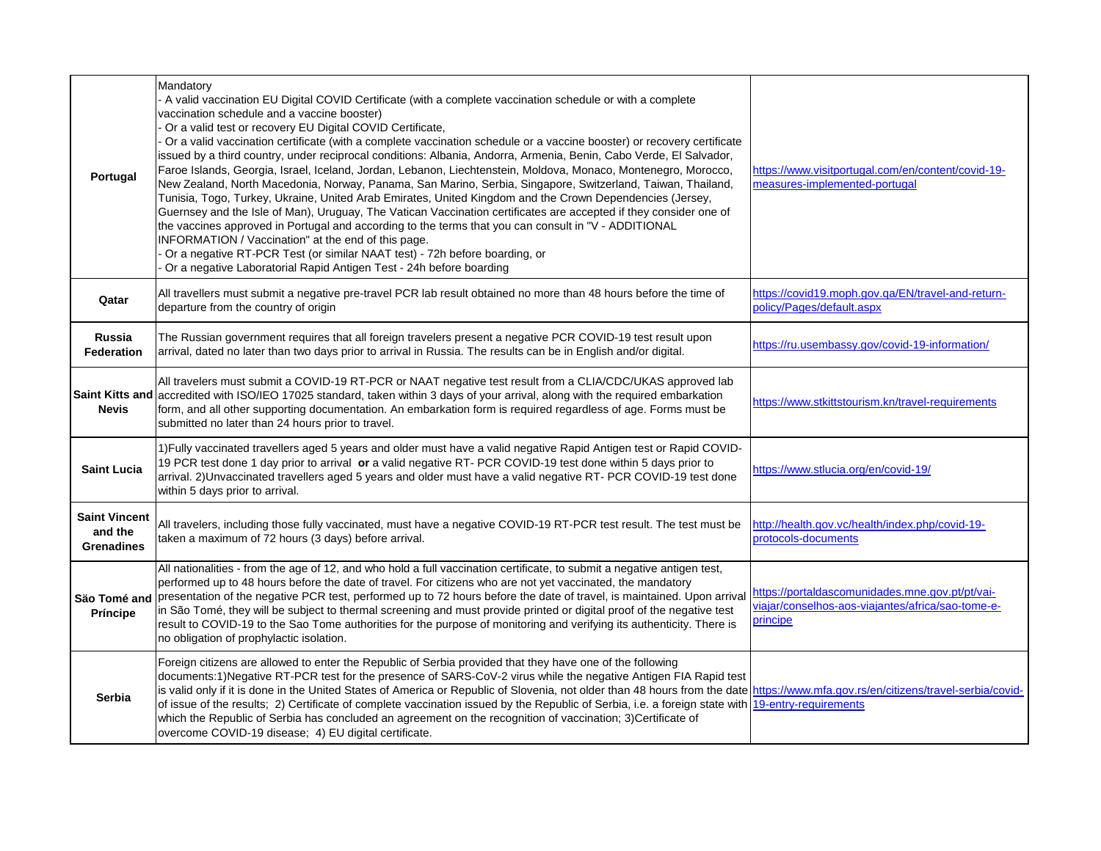| Portugal                                             | Mandatory<br>A valid vaccination EU Digital COVID Certificate (with a complete vaccination schedule or with a complete<br>vaccination schedule and a vaccine booster)<br>Or a valid test or recovery EU Digital COVID Certificate,<br>Or a valid vaccination certificate (with a complete vaccination schedule or a vaccine booster) or recovery certificate<br>issued by a third country, under reciprocal conditions: Albania, Andorra, Armenia, Benin, Cabo Verde, El Salvador,<br>Faroe Islands, Georgia, Israel, Iceland, Jordan, Lebanon, Liechtenstein, Moldova, Monaco, Montenegro, Morocco,<br>New Zealand, North Macedonia, Norway, Panama, San Marino, Serbia, Singapore, Switzerland, Taiwan, Thailand,<br>Tunisia, Togo, Turkey, Ukraine, United Arab Emirates, United Kingdom and the Crown Dependencies (Jersey,<br>Guernsey and the Isle of Man), Uruguay, The Vatican Vaccination certificates are accepted if they consider one of<br>the vaccines approved in Portugal and according to the terms that you can consult in "V - ADDITIONAL<br>INFORMATION / Vaccination" at the end of this page.<br>Or a negative RT-PCR Test (or similar NAAT test) - 72h before boarding, or<br>Or a negative Laboratorial Rapid Antigen Test - 24h before boarding | https://www.visitportugal.com/en/content/covid-19-<br>measures-implemented-portugal                                     |
|------------------------------------------------------|--------------------------------------------------------------------------------------------------------------------------------------------------------------------------------------------------------------------------------------------------------------------------------------------------------------------------------------------------------------------------------------------------------------------------------------------------------------------------------------------------------------------------------------------------------------------------------------------------------------------------------------------------------------------------------------------------------------------------------------------------------------------------------------------------------------------------------------------------------------------------------------------------------------------------------------------------------------------------------------------------------------------------------------------------------------------------------------------------------------------------------------------------------------------------------------------------------------------------------------------------------------------------|-------------------------------------------------------------------------------------------------------------------------|
| Qatar                                                | All travellers must submit a negative pre-travel PCR lab result obtained no more than 48 hours before the time of<br>departure from the country of origin                                                                                                                                                                                                                                                                                                                                                                                                                                                                                                                                                                                                                                                                                                                                                                                                                                                                                                                                                                                                                                                                                                                | https://covid19.moph.gov.qa/EN/travel-and-return-<br>policy/Pages/default.aspx                                          |
| Russia<br><b>Federation</b>                          | The Russian government requires that all foreign travelers present a negative PCR COVID-19 test result upon<br>arrival, dated no later than two days prior to arrival in Russia. The results can be in English and/or digital.                                                                                                                                                                                                                                                                                                                                                                                                                                                                                                                                                                                                                                                                                                                                                                                                                                                                                                                                                                                                                                           | https://ru.usembassy.gov/covid-19-information/                                                                          |
| <b>Nevis</b>                                         | All travelers must submit a COVID-19 RT-PCR or NAAT negative test result from a CLIA/CDC/UKAS approved lab<br>Saint Kitts and accredited with ISO/IEO 17025 standard, taken within 3 days of your arrival, along with the required embarkation<br>form, and all other supporting documentation. An embarkation form is required regardless of age. Forms must be<br>submitted no later than 24 hours prior to travel.                                                                                                                                                                                                                                                                                                                                                                                                                                                                                                                                                                                                                                                                                                                                                                                                                                                    | https://www.stkittstourism.kn/travel-requirements                                                                       |
| <b>Saint Lucia</b>                                   | 1) Fully vaccinated travellers aged 5 years and older must have a valid negative Rapid Antigen test or Rapid COVID-<br>19 PCR test done 1 day prior to arrival or a valid negative RT- PCR COVID-19 test done within 5 days prior to<br>arrival. 2)Unvaccinated travellers aged 5 years and older must have a valid negative RT- PCR COVID-19 test done<br>within 5 days prior to arrival.                                                                                                                                                                                                                                                                                                                                                                                                                                                                                                                                                                                                                                                                                                                                                                                                                                                                               | https://www.stlucia.org/en/covid-19/                                                                                    |
| <b>Saint Vincent</b><br>and the<br><b>Grenadines</b> | All travelers, including those fully vaccinated, must have a negative COVID-19 RT-PCR test result. The test must be<br>taken a maximum of 72 hours (3 days) before arrival.                                                                                                                                                                                                                                                                                                                                                                                                                                                                                                                                                                                                                                                                                                                                                                                                                                                                                                                                                                                                                                                                                              | http://health.gov.vc/health/index.php/covid-19-<br>protocols-documents                                                  |
| Säo Tomé and<br><b>Príncipe</b>                      | All nationalities - from the age of 12, and who hold a full vaccination certificate, to submit a negative antigen test,<br>performed up to 48 hours before the date of travel. For citizens who are not yet vaccinated, the mandatory<br>presentation of the negative PCR test, performed up to 72 hours before the date of travel, is maintained. Upon arrival<br>in São Tomé, they will be subject to thermal screening and must provide printed or digital proof of the negative test<br>result to COVID-19 to the Sao Tome authorities for the purpose of monitoring and verifying its authenticity. There is<br>no obligation of prophylactic isolation.                                                                                                                                                                                                                                                                                                                                                                                                                                                                                                                                                                                                            | https://portaldascomunidades.mne.gov.pt/pt/vai-<br>viajar/conselhos-aos-viajantes/africa/sao-tome-e-<br><b>principe</b> |
| Serbia                                               | Foreign citizens are allowed to enter the Republic of Serbia provided that they have one of the following<br>documents:1)Negative RT-PCR test for the presence of SARS-CoV-2 virus while the negative Antigen FIA Rapid test<br>is valid only if it is done in the United States of America or Republic of Slovenia, not older than 48 hours from the date https://www.mfa.gov.rs/en/citizens/travel-serbia/covid-<br>of issue of the results; 2) Certificate of complete vaccination issued by the Republic of Serbia, i.e. a foreign state with 19-entry-requirements<br>which the Republic of Serbia has concluded an agreement on the recognition of vaccination; 3) Certificate of<br>overcome COVID-19 disease; 4) EU digital certificate.                                                                                                                                                                                                                                                                                                                                                                                                                                                                                                                         |                                                                                                                         |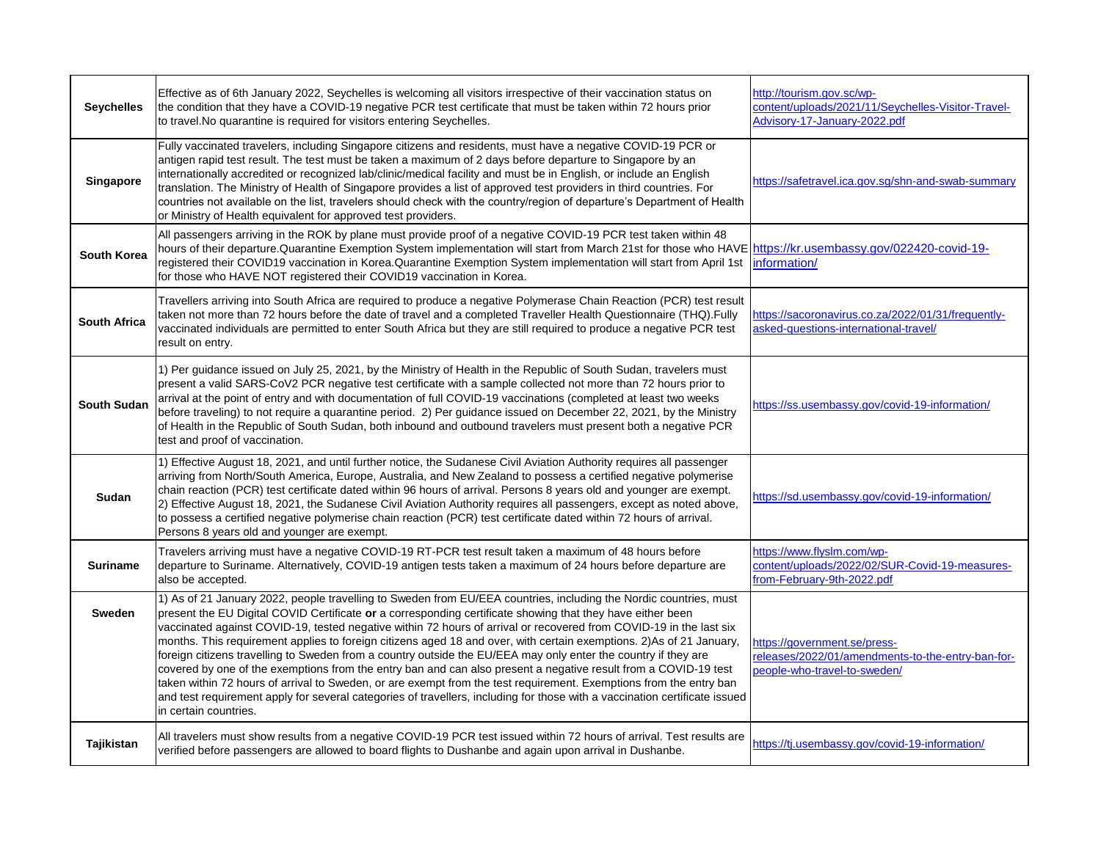| <b>Seychelles</b>   | Effective as of 6th January 2022, Seychelles is welcoming all visitors irrespective of their vaccination status on<br>the condition that they have a COVID-19 negative PCR test certificate that must be taken within 72 hours prior<br>to travel. No quarantine is required for visitors entering Seychelles.                                                                                                                                                                                                                                                                                                                                                                                                                                                                                                                                                                                                                                                                                 | http://tourism.gov.sc/wp-<br>content/uploads/2021/11/Seychelles-Visitor-Travel-<br>Advisory-17-January-2022.pdf   |
|---------------------|------------------------------------------------------------------------------------------------------------------------------------------------------------------------------------------------------------------------------------------------------------------------------------------------------------------------------------------------------------------------------------------------------------------------------------------------------------------------------------------------------------------------------------------------------------------------------------------------------------------------------------------------------------------------------------------------------------------------------------------------------------------------------------------------------------------------------------------------------------------------------------------------------------------------------------------------------------------------------------------------|-------------------------------------------------------------------------------------------------------------------|
| <b>Singapore</b>    | Fully vaccinated travelers, including Singapore citizens and residents, must have a negative COVID-19 PCR or<br>antigen rapid test result. The test must be taken a maximum of 2 days before departure to Singapore by an<br>internationally accredited or recognized lab/clinic/medical facility and must be in English, or include an English<br>translation. The Ministry of Health of Singapore provides a list of approved test providers in third countries. For<br>countries not available on the list, travelers should check with the country/region of departure's Department of Health<br>or Ministry of Health equivalent for approved test providers.                                                                                                                                                                                                                                                                                                                             | https://safetravel.ica.gov.sg/shn-and-swab-summary                                                                |
| <b>South Korea</b>  | All passengers arriving in the ROK by plane must provide proof of a negative COVID-19 PCR test taken within 48<br>hours of their departure. Quarantine Exemption System implementation will start from March 21st for those who HAVE https://kr.usembassy.gov/022420-covid-19-<br>registered their COVID19 vaccination in Korea. Quarantine Exemption System implementation will start from April 1st<br>for those who HAVE NOT registered their COVID19 vaccination in Korea.                                                                                                                                                                                                                                                                                                                                                                                                                                                                                                                 | information/                                                                                                      |
| <b>South Africa</b> | Travellers arriving into South Africa are required to produce a negative Polymerase Chain Reaction (PCR) test result<br>taken not more than 72 hours before the date of travel and a completed Traveller Health Questionnaire (THQ).Fully<br>vaccinated individuals are permitted to enter South Africa but they are still required to produce a negative PCR test<br>result on entry.                                                                                                                                                                                                                                                                                                                                                                                                                                                                                                                                                                                                         | https://sacoronavirus.co.za/2022/01/31/frequently-<br>asked-questions-international-travel/                       |
| <b>South Sudan</b>  | 1) Per guidance issued on July 25, 2021, by the Ministry of Health in the Republic of South Sudan, travelers must<br>present a valid SARS-CoV2 PCR negative test certificate with a sample collected not more than 72 hours prior to<br>arrival at the point of entry and with documentation of full COVID-19 vaccinations (completed at least two weeks<br>before traveling) to not require a quarantine period. 2) Per guidance issued on December 22, 2021, by the Ministry<br>of Health in the Republic of South Sudan, both inbound and outbound travelers must present both a negative PCR<br>test and proof of vaccination.                                                                                                                                                                                                                                                                                                                                                             | https://ss.usembassy.gov/covid-19-information/                                                                    |
| Sudan               | 1) Effective August 18, 2021, and until further notice, the Sudanese Civil Aviation Authority requires all passenger<br>arriving from North/South America, Europe, Australia, and New Zealand to possess a certified negative polymerise<br>chain reaction (PCR) test certificate dated within 96 hours of arrival. Persons 8 years old and younger are exempt.<br>(2) Effective August 18, 2021, the Sudanese Civil Aviation Authority requires all passengers, except as noted above,<br>to possess a certified negative polymerise chain reaction (PCR) test certificate dated within 72 hours of arrival.<br>Persons 8 years old and younger are exempt.                                                                                                                                                                                                                                                                                                                                   | https://sd.usembassy.gov/covid-19-information/                                                                    |
| <b>Suriname</b>     | Travelers arriving must have a negative COVID-19 RT-PCR test result taken a maximum of 48 hours before<br>departure to Suriname. Alternatively, COVID-19 antigen tests taken a maximum of 24 hours before departure are<br>also be accepted.                                                                                                                                                                                                                                                                                                                                                                                                                                                                                                                                                                                                                                                                                                                                                   | https://www.flyslm.com/wp-<br>content/uploads/2022/02/SUR-Covid-19-measures-<br>from-February-9th-2022.pdf        |
| <b>Sweden</b>       | 1) As of 21 January 2022, people travelling to Sweden from EU/EEA countries, including the Nordic countries, must<br>present the EU Digital COVID Certificate or a corresponding certificate showing that they have either been<br>vaccinated against COVID-19, tested negative within 72 hours of arrival or recovered from COVID-19 in the last six<br>months. This requirement applies to foreign citizens aged 18 and over, with certain exemptions. 2)As of 21 January,<br>foreign citizens travelling to Sweden from a country outside the EU/EEA may only enter the country if they are<br>covered by one of the exemptions from the entry ban and can also present a negative result from a COVID-19 test<br>taken within 72 hours of arrival to Sweden, or are exempt from the test requirement. Exemptions from the entry ban<br>and test requirement apply for several categories of travellers, including for those with a vaccination certificate issued<br>in certain countries. | https://government.se/press-<br>releases/2022/01/amendments-to-the-entry-ban-for-<br>people-who-travel-to-sweden/ |
| Tajikistan          | All travelers must show results from a negative COVID-19 PCR test issued within 72 hours of arrival. Test results are<br>verified before passengers are allowed to board flights to Dushanbe and again upon arrival in Dushanbe.                                                                                                                                                                                                                                                                                                                                                                                                                                                                                                                                                                                                                                                                                                                                                               | https://tj.usembassy.gov/covid-19-information/                                                                    |